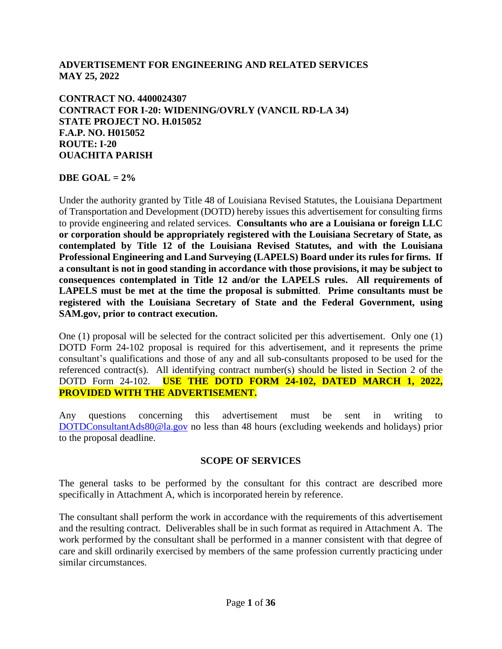### **ADVERTISEMENT FOR ENGINEERING AND RELATED SERVICES MAY 25, 2022**

#### **CONTRACT NO. 4400024307 CONTRACT FOR I-20: WIDENING/OVRLY (VANCIL RD-LA 34) STATE PROJECT NO. H.015052 F.A.P. NO. H015052 ROUTE: I-20 OUACHITA PARISH**

#### **DBE GOAL** =  $2\%$

Under the authority granted by Title 48 of Louisiana Revised Statutes, the Louisiana Department of Transportation and Development (DOTD) hereby issues this advertisement for consulting firms to provide engineering and related services. **Consultants who are a Louisiana or foreign LLC or corporation should be appropriately registered with the Louisiana Secretary of State, as contemplated by Title 12 of the Louisiana Revised Statutes, and with the Louisiana Professional Engineering and Land Surveying (LAPELS) Board under its rules for firms. If a consultant is not in good standing in accordance with those provisions, it may be subject to consequences contemplated in Title 12 and/or the LAPELS rules. All requirements of LAPELS must be met at the time the proposal is submitted**. **Prime consultants must be registered with the Louisiana Secretary of State and the Federal Government, using SAM.gov, prior to contract execution.** 

One (1) proposal will be selected for the contract solicited per this advertisement. Only one (1) DOTD Form 24-102 proposal is required for this advertisement, and it represents the prime consultant's qualifications and those of any and all sub-consultants proposed to be used for the referenced contract(s). All identifying contract number(s) should be listed in Section 2 of the DOTD Form 24-102. **USE THE DOTD FORM 24-102, DATED MARCH 1, 2022, PROVIDED WITH THE ADVERTISEMENT.**

Any questions concerning this advertisement must be sent in writing to [DOTDConsultantAds80@la.gov](mailto:DOTDConsultantAds80@la.gov) no less than 48 hours (excluding weekends and holidays) prior to the proposal deadline.

#### **SCOPE OF SERVICES**

The general tasks to be performed by the consultant for this contract are described more specifically in Attachment A, which is incorporated herein by reference.

The consultant shall perform the work in accordance with the requirements of this advertisement and the resulting contract. Deliverables shall be in such format as required in Attachment A. The work performed by the consultant shall be performed in a manner consistent with that degree of care and skill ordinarily exercised by members of the same profession currently practicing under similar circumstances.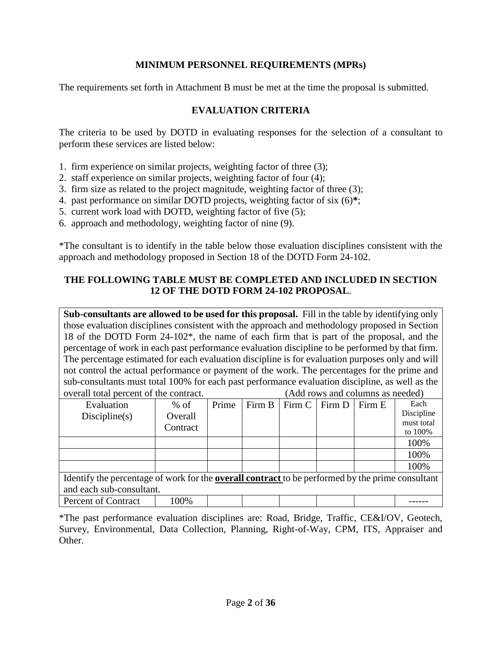### **MINIMUM PERSONNEL REQUIREMENTS (MPRs)**

The requirements set forth in Attachment B must be met at the time the proposal is submitted.

### **EVALUATION CRITERIA**

The criteria to be used by DOTD in evaluating responses for the selection of a consultant to perform these services are listed below:

- 1. firm experience on similar projects, weighting factor of three (3);
- 2. staff experience on similar projects, weighting factor of four (4);
- 3. firm size as related to the project magnitude, weighting factor of three (3);
- 4. past performance on similar DOTD projects, weighting factor of six (6)**\***;
- 5. current work load with DOTD, weighting factor of five (5);
- 6. approach and methodology, weighting factor of nine (9).

\*The consultant is to identify in the table below those evaluation disciplines consistent with the approach and methodology proposed in Section 18 of the DOTD Form 24-102.

#### **THE FOLLOWING TABLE MUST BE COMPLETED AND INCLUDED IN SECTION 12 OF THE DOTD FORM 24-102 PROPOSAL**.

**Sub-consultants are allowed to be used for this proposal.** Fill in the table by identifying only those evaluation disciplines consistent with the approach and methodology proposed in Section 18 of the DOTD Form 24-102\*, the name of each firm that is part of the proposal, and the percentage of work in each past performance evaluation discipline to be performed by that firm. The percentage estimated for each evaluation discipline is for evaluation purposes only and will not control the actual performance or payment of the work. The percentages for the prime and sub-consultants must total 100% for each past performance evaluation discipline, as well as the overall total percent of the contract. (Add rows and columns as needed)

| Evaluation                                                                                              | $%$ of   | Prime |  | Firm $B$   Firm $C$   Firm $D$ |  | Firm E | Each       |
|---------------------------------------------------------------------------------------------------------|----------|-------|--|--------------------------------|--|--------|------------|
| Discpline(s)                                                                                            | Overall  |       |  |                                |  |        | Discipline |
|                                                                                                         | Contract |       |  |                                |  |        | must total |
|                                                                                                         |          |       |  |                                |  |        | to 100%    |
|                                                                                                         |          |       |  |                                |  |        | 100%       |
|                                                                                                         |          |       |  |                                |  |        | 100%       |
|                                                                                                         |          |       |  |                                |  |        | 100%       |
| Identify the percentage of work for the <b>overall contract</b> to be performed by the prime consultant |          |       |  |                                |  |        |            |
| and each sub-consultant.                                                                                |          |       |  |                                |  |        |            |
| Percent of Contract                                                                                     | 100%     |       |  |                                |  |        |            |

\*The past performance evaluation disciplines are: Road, Bridge, Traffic, CE&I/OV, Geotech, Survey, Environmental, Data Collection, Planning, Right-of-Way, CPM, ITS, Appraiser and Other.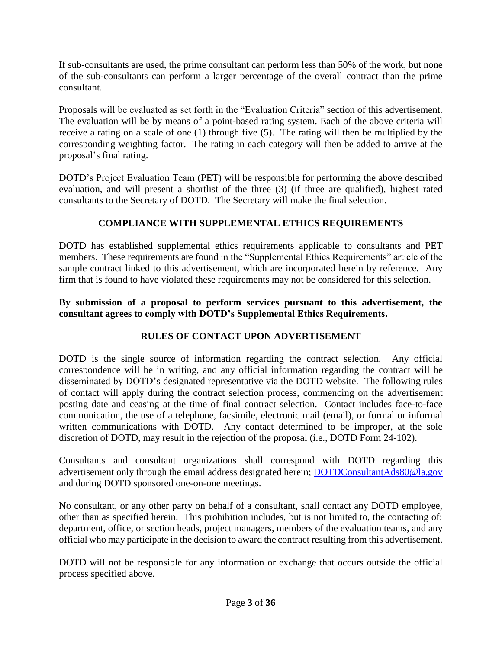If sub-consultants are used, the prime consultant can perform less than 50% of the work, but none of the sub-consultants can perform a larger percentage of the overall contract than the prime consultant.

Proposals will be evaluated as set forth in the "Evaluation Criteria" section of this advertisement. The evaluation will be by means of a point-based rating system. Each of the above criteria will receive a rating on a scale of one (1) through five (5). The rating will then be multiplied by the corresponding weighting factor. The rating in each category will then be added to arrive at the proposal's final rating.

DOTD's Project Evaluation Team (PET) will be responsible for performing the above described evaluation, and will present a shortlist of the three (3) (if three are qualified), highest rated consultants to the Secretary of DOTD. The Secretary will make the final selection.

# **COMPLIANCE WITH SUPPLEMENTAL ETHICS REQUIREMENTS**

DOTD has established supplemental ethics requirements applicable to consultants and PET members. These requirements are found in the "Supplemental Ethics Requirements" article of the sample contract linked to this advertisement, which are incorporated herein by reference. Any firm that is found to have violated these requirements may not be considered for this selection.

## **By submission of a proposal to perform services pursuant to this advertisement, the consultant agrees to comply with DOTD's Supplemental Ethics Requirements.**

# **RULES OF CONTACT UPON ADVERTISEMENT**

DOTD is the single source of information regarding the contract selection. Any official correspondence will be in writing, and any official information regarding the contract will be disseminated by DOTD's designated representative via the DOTD website. The following rules of contact will apply during the contract selection process, commencing on the advertisement posting date and ceasing at the time of final contract selection. Contact includes face-to-face communication, the use of a telephone, facsimile, electronic mail (email), or formal or informal written communications with DOTD. Any contact determined to be improper, at the sole discretion of DOTD, may result in the rejection of the proposal (i.e., DOTD Form 24-102).

Consultants and consultant organizations shall correspond with DOTD regarding this advertisement only through the email address designated herein; **DOTDConsultantAds80@la.gov** and during DOTD sponsored one-on-one meetings.

No consultant, or any other party on behalf of a consultant, shall contact any DOTD employee, other than as specified herein. This prohibition includes, but is not limited to, the contacting of: department, office, or section heads, project managers, members of the evaluation teams, and any official who may participate in the decision to award the contract resulting from this advertisement.

DOTD will not be responsible for any information or exchange that occurs outside the official process specified above.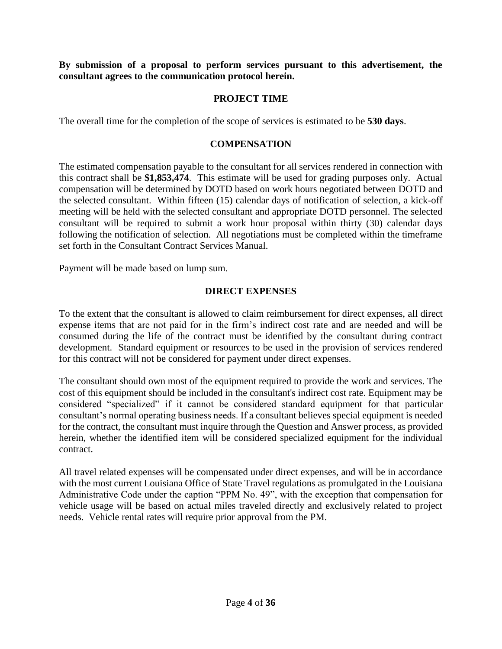**By submission of a proposal to perform services pursuant to this advertisement, the consultant agrees to the communication protocol herein.**

#### **PROJECT TIME**

The overall time for the completion of the scope of services is estimated to be **530 days**.

#### **COMPENSATION**

The estimated compensation payable to the consultant for all services rendered in connection with this contract shall be **\$1,853,474**. This estimate will be used for grading purposes only. Actual compensation will be determined by DOTD based on work hours negotiated between DOTD and the selected consultant. Within fifteen (15) calendar days of notification of selection, a kick-off meeting will be held with the selected consultant and appropriate DOTD personnel. The selected consultant will be required to submit a work hour proposal within thirty (30) calendar days following the notification of selection. All negotiations must be completed within the timeframe set forth in the Consultant Contract Services Manual.

Payment will be made based on lump sum.

#### **DIRECT EXPENSES**

To the extent that the consultant is allowed to claim reimbursement for direct expenses, all direct expense items that are not paid for in the firm's indirect cost rate and are needed and will be consumed during the life of the contract must be identified by the consultant during contract development. Standard equipment or resources to be used in the provision of services rendered for this contract will not be considered for payment under direct expenses.

The consultant should own most of the equipment required to provide the work and services. The cost of this equipment should be included in the consultant's indirect cost rate. Equipment may be considered "specialized" if it cannot be considered standard equipment for that particular consultant's normal operating business needs. If a consultant believes special equipment is needed for the contract, the consultant must inquire through the Question and Answer process, as provided herein, whether the identified item will be considered specialized equipment for the individual contract.

All travel related expenses will be compensated under direct expenses, and will be in accordance with the most current Louisiana Office of State Travel regulations as promulgated in the Louisiana Administrative Code under the caption "PPM No. 49", with the exception that compensation for vehicle usage will be based on actual miles traveled directly and exclusively related to project needs. Vehicle rental rates will require prior approval from the PM.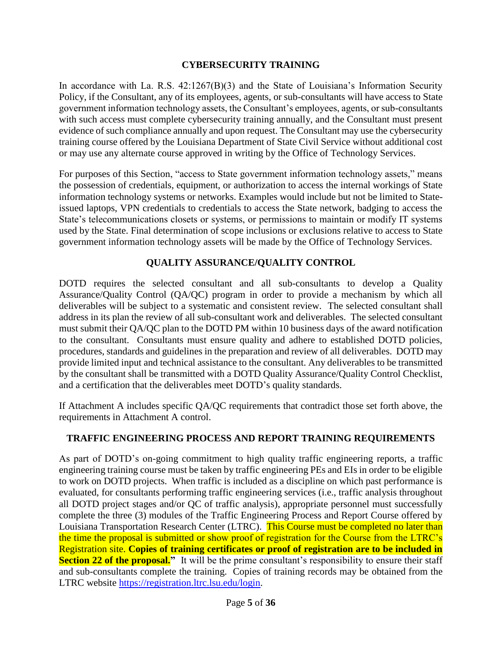### **CYBERSECURITY TRAINING**

In accordance with La. R.S.  $42:1267(B)(3)$  and the State of Louisiana's Information Security Policy, if the Consultant, any of its employees, agents, or sub-consultants will have access to State government information technology assets, the Consultant's employees, agents, or sub-consultants with such access must complete cybersecurity training annually, and the Consultant must present evidence of such compliance annually and upon request. The Consultant may use the cybersecurity training course offered by the Louisiana Department of State Civil Service without additional cost or may use any alternate course approved in writing by the Office of Technology Services.

For purposes of this Section, "access to State government information technology assets," means the possession of credentials, equipment, or authorization to access the internal workings of State information technology systems or networks. Examples would include but not be limited to Stateissued laptops, VPN credentials to credentials to access the State network, badging to access the State's telecommunications closets or systems, or permissions to maintain or modify IT systems used by the State. Final determination of scope inclusions or exclusions relative to access to State government information technology assets will be made by the Office of Technology Services.

### **QUALITY ASSURANCE/QUALITY CONTROL**

DOTD requires the selected consultant and all sub-consultants to develop a Quality Assurance/Quality Control (QA/QC) program in order to provide a mechanism by which all deliverables will be subject to a systematic and consistent review. The selected consultant shall address in its plan the review of all sub-consultant work and deliverables. The selected consultant must submit their QA/QC plan to the DOTD PM within 10 business days of the award notification to the consultant. Consultants must ensure quality and adhere to established DOTD policies, procedures, standards and guidelines in the preparation and review of all deliverables. DOTD may provide limited input and technical assistance to the consultant. Any deliverables to be transmitted by the consultant shall be transmitted with a DOTD Quality Assurance/Quality Control Checklist, and a certification that the deliverables meet DOTD's quality standards.

If Attachment A includes specific QA/QC requirements that contradict those set forth above, the requirements in Attachment A control.

## **TRAFFIC ENGINEERING PROCESS AND REPORT TRAINING REQUIREMENTS**

As part of DOTD's on-going commitment to high quality traffic engineering reports, a traffic engineering training course must be taken by traffic engineering PEs and EIs in order to be eligible to work on DOTD projects. When traffic is included as a discipline on which past performance is evaluated, for consultants performing traffic engineering services (i.e., traffic analysis throughout all DOTD project stages and/or QC of traffic analysis), appropriate personnel must successfully complete the three (3) modules of the Traffic Engineering Process and Report Course offered by Louisiana Transportation Research Center (LTRC). This Course must be completed no later than the time the proposal is submitted or show proof of registration for the Course from the LTRC's Registration site. **Copies of training certificates or proof of registration are to be included in Section 22 of the proposal.**" It will be the prime consultant's responsibility to ensure their staff and sub-consultants complete the training. Copies of training records may be obtained from the LTRC website [https://registration.ltrc.lsu.edu/login.](https://registration.ltrc.lsu.edu/login)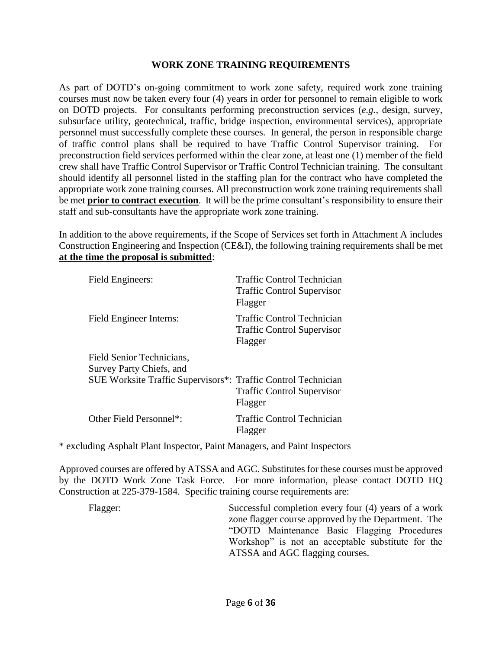#### **WORK ZONE TRAINING REQUIREMENTS**

As part of DOTD's on-going commitment to work zone safety, required work zone training courses must now be taken every four (4) years in order for personnel to remain eligible to work on DOTD projects. For consultants performing preconstruction services (*e.g.*, design, survey, subsurface utility, geotechnical, traffic, bridge inspection, environmental services), appropriate personnel must successfully complete these courses. In general, the person in responsible charge of traffic control plans shall be required to have Traffic Control Supervisor training. For preconstruction field services performed within the clear zone, at least one (1) member of the field crew shall have Traffic Control Supervisor or Traffic Control Technician training. The consultant should identify all personnel listed in the staffing plan for the contract who have completed the appropriate work zone training courses. All preconstruction work zone training requirements shall be met **prior to contract execution**. It will be the prime consultant's responsibility to ensure their staff and sub-consultants have the appropriate work zone training.

In addition to the above requirements, if the Scope of Services set forth in Attachment A includes Construction Engineering and Inspection (CE&I), the following training requirements shall be met **at the time the proposal is submitted**:

| Field Engineers:                                              | Traffic Control Technician<br><b>Traffic Control Supervisor</b><br>Flagger |
|---------------------------------------------------------------|----------------------------------------------------------------------------|
| Field Engineer Interns:                                       | Traffic Control Technician<br><b>Traffic Control Supervisor</b><br>Flagger |
| Field Senior Technicians,                                     |                                                                            |
| Survey Party Chiefs, and                                      |                                                                            |
| SUE Worksite Traffic Supervisors*: Traffic Control Technician | <b>Traffic Control Supervisor</b><br>Flagger                               |
| Other Field Personnel*:                                       | Traffic Control Technician<br>Flagger                                      |

\* excluding Asphalt Plant Inspector, Paint Managers, and Paint Inspectors

Approved courses are offered by ATSSA and AGC. Substitutes for these courses must be approved by the DOTD Work Zone Task Force. For more information, please contact DOTD HQ Construction at 225-379-1584. Specific training course requirements are:

Flagger: Successful completion every four (4) years of a work zone flagger course approved by the Department. The "DOTD Maintenance Basic Flagging Procedures Workshop" is not an acceptable substitute for the ATSSA and AGC flagging courses.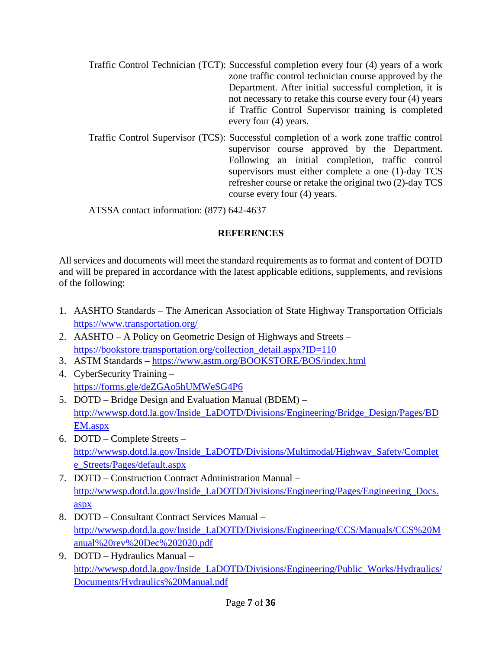- Traffic Control Technician (TCT): Successful completion every four (4) years of a work zone traffic control technician course approved by the Department. After initial successful completion, it is not necessary to retake this course every four (4) years if Traffic Control Supervisor training is completed every four (4) years.
- Traffic Control Supervisor (TCS): Successful completion of a work zone traffic control supervisor course approved by the Department. Following an initial completion, traffic control supervisors must either complete a one (1)-day TCS refresher course or retake the original two (2)-day TCS course every four (4) years.

ATSSA contact information: (877) 642-4637

# **REFERENCES**

All services and documents will meet the standard requirements as to format and content of DOTD and will be prepared in accordance with the latest applicable editions, supplements, and revisions of the following:

- 1. AASHTO Standards The American Association of State Highway Transportation Officials <https://www.transportation.org/>
- 2. AASHTO A Policy on Geometric Design of Highways and Streets [https://bookstore.transportation.org/collection\\_detail.aspx?ID=110](https://bookstore.transportation.org/collection_detail.aspx?ID=110)
- 3. ASTM Standards <https://www.astm.org/BOOKSTORE/BOS/index.html>
- 4. CyberSecurity Training <https://forms.gle/deZGAo5hUMWeSG4P6>
- 5. DOTD Bridge Design and Evaluation Manual (BDEM) [http://wwwsp.dotd.la.gov/Inside\\_LaDOTD/Divisions/Engineering/Bridge\\_Design/Pages/BD](http://wwwsp.dotd.la.gov/Inside_LaDOTD/Divisions/Engineering/Bridge_Design/Pages/BDEM.aspx) [EM.aspx](http://wwwsp.dotd.la.gov/Inside_LaDOTD/Divisions/Engineering/Bridge_Design/Pages/BDEM.aspx)
- 6. DOTD Complete Streets [http://wwwsp.dotd.la.gov/Inside\\_LaDOTD/Divisions/Multimodal/Highway\\_Safety/Complet](http://wwwsp.dotd.la.gov/Inside_LaDOTD/Divisions/Multimodal/Highway_Safety/Complete_Streets/Pages/default.aspx) [e\\_Streets/Pages/default.aspx](http://wwwsp.dotd.la.gov/Inside_LaDOTD/Divisions/Multimodal/Highway_Safety/Complete_Streets/Pages/default.aspx)
- 7. DOTD Construction Contract Administration Manual [http://wwwsp.dotd.la.gov/Inside\\_LaDOTD/Divisions/Engineering/Pages/Engineering\\_Docs.](http://wwwsp.dotd.la.gov/Inside_LaDOTD/Divisions/Engineering/Pages/Engineering_Docs.aspx) [aspx](http://wwwsp.dotd.la.gov/Inside_LaDOTD/Divisions/Engineering/Pages/Engineering_Docs.aspx)
- 8. DOTD Consultant Contract Services Manual [http://wwwsp.dotd.la.gov/Inside\\_LaDOTD/Divisions/Engineering/CCS/Manuals/CCS%20M](http://wwwsp.dotd.la.gov/Inside_LaDOTD/Divisions/Engineering/CCS/Manuals/CCS%20Manual%20rev%20Dec%202020.pdf) [anual%20rev%20Dec%202020.pdf](http://wwwsp.dotd.la.gov/Inside_LaDOTD/Divisions/Engineering/CCS/Manuals/CCS%20Manual%20rev%20Dec%202020.pdf)
- 9. DOTD Hydraulics Manual [http://wwwsp.dotd.la.gov/Inside\\_LaDOTD/Divisions/Engineering/Public\\_Works/Hydraulics/](http://wwwsp.dotd.la.gov/Inside_LaDOTD/Divisions/Engineering/Public_Works/Hydraulics/Documents/Hydraulics%20Manual.pdf) [Documents/Hydraulics%20Manual.pdf](http://wwwsp.dotd.la.gov/Inside_LaDOTD/Divisions/Engineering/Public_Works/Hydraulics/Documents/Hydraulics%20Manual.pdf)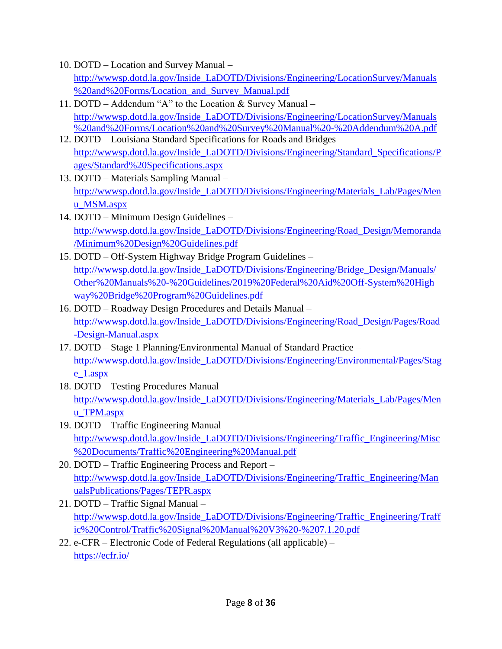- 10. DOTD Location and Survey Manual [http://wwwsp.dotd.la.gov/Inside\\_LaDOTD/Divisions/Engineering/LocationSurvey/Manuals](http://wwwsp.dotd.la.gov/Inside_LaDOTD/Divisions/Engineering/LocationSurvey/Manuals%20and%20Forms/Location_and_Survey_Manual.pdf) [%20and%20Forms/Location\\_and\\_Survey\\_Manual.pdf](http://wwwsp.dotd.la.gov/Inside_LaDOTD/Divisions/Engineering/LocationSurvey/Manuals%20and%20Forms/Location_and_Survey_Manual.pdf)
- 11. DOTD Addendum "A" to the Location & Survey Manual [http://wwwsp.dotd.la.gov/Inside\\_LaDOTD/Divisions/Engineering/LocationSurvey/Manuals](http://wwwsp.dotd.la.gov/Inside_LaDOTD/Divisions/Engineering/LocationSurvey/Manuals%20and%20Forms/Location%20and%20Survey%20Manual%20-%20Addendum%20A.pdf) [%20and%20Forms/Location%20and%20Survey%20Manual%20-%20Addendum%20A.pdf](http://wwwsp.dotd.la.gov/Inside_LaDOTD/Divisions/Engineering/LocationSurvey/Manuals%20and%20Forms/Location%20and%20Survey%20Manual%20-%20Addendum%20A.pdf)
- 12. DOTD Louisiana Standard Specifications for Roads and Bridges [http://wwwsp.dotd.la.gov/Inside\\_LaDOTD/Divisions/Engineering/Standard\\_Specifications/P](http://wwwsp.dotd.la.gov/Inside_LaDOTD/Divisions/Engineering/Standard_Specifications/Pages/Standard%20Specifications.aspx) [ages/Standard%20Specifications.aspx](http://wwwsp.dotd.la.gov/Inside_LaDOTD/Divisions/Engineering/Standard_Specifications/Pages/Standard%20Specifications.aspx)
- 13. DOTD Materials Sampling Manual [http://wwwsp.dotd.la.gov/Inside\\_LaDOTD/Divisions/Engineering/Materials\\_Lab/Pages/Men](http://wwwsp.dotd.la.gov/Inside_LaDOTD/Divisions/Engineering/Materials_Lab/Pages/Menu_MSM.aspx) [u\\_MSM.aspx](http://wwwsp.dotd.la.gov/Inside_LaDOTD/Divisions/Engineering/Materials_Lab/Pages/Menu_MSM.aspx)
- 14. DOTD Minimum Design Guidelines [http://wwwsp.dotd.la.gov/Inside\\_LaDOTD/Divisions/Engineering/Road\\_Design/Memoranda](http://wwwsp.dotd.la.gov/Inside_LaDOTD/Divisions/Engineering/Road_Design/Memoranda/Minimum%20Design%20Guidelines.pdf) [/Minimum%20Design%20Guidelines.pdf](http://wwwsp.dotd.la.gov/Inside_LaDOTD/Divisions/Engineering/Road_Design/Memoranda/Minimum%20Design%20Guidelines.pdf)
- 15. DOTD Off-System Highway Bridge Program Guidelines [http://wwwsp.dotd.la.gov/Inside\\_LaDOTD/Divisions/Engineering/Bridge\\_Design/Manuals/](http://wwwsp.dotd.la.gov/Inside_LaDOTD/Divisions/Engineering/Bridge_Design/Manuals/Other%20Manuals%20-%20Guidelines/2019%20Federal%20Aid%20Off-System%20Highway%20Bridge%20Program%20Guidelines.pdf) [Other%20Manuals%20-%20Guidelines/2019%20Federal%20Aid%20Off-System%20High](http://wwwsp.dotd.la.gov/Inside_LaDOTD/Divisions/Engineering/Bridge_Design/Manuals/Other%20Manuals%20-%20Guidelines/2019%20Federal%20Aid%20Off-System%20Highway%20Bridge%20Program%20Guidelines.pdf) [way%20Bridge%20Program%20Guidelines.pdf](http://wwwsp.dotd.la.gov/Inside_LaDOTD/Divisions/Engineering/Bridge_Design/Manuals/Other%20Manuals%20-%20Guidelines/2019%20Federal%20Aid%20Off-System%20Highway%20Bridge%20Program%20Guidelines.pdf)
- 16. DOTD Roadway Design Procedures and Details Manual [http://wwwsp.dotd.la.gov/Inside\\_LaDOTD/Divisions/Engineering/Road\\_Design/Pages/Road](http://wwwsp.dotd.la.gov/Inside_LaDOTD/Divisions/Engineering/Road_Design/Pages/Road-Design-Manual.aspx) [-Design-Manual.aspx](http://wwwsp.dotd.la.gov/Inside_LaDOTD/Divisions/Engineering/Road_Design/Pages/Road-Design-Manual.aspx)
- 17. DOTD Stage 1 Planning/Environmental Manual of Standard Practice [http://wwwsp.dotd.la.gov/Inside\\_LaDOTD/Divisions/Engineering/Environmental/Pages/Stag](http://wwwsp.dotd.la.gov/Inside_LaDOTD/Divisions/Engineering/Environmental/Pages/Stage_1.aspx) [e\\_1.aspx](http://wwwsp.dotd.la.gov/Inside_LaDOTD/Divisions/Engineering/Environmental/Pages/Stage_1.aspx)
- 18. DOTD Testing Procedures Manual [http://wwwsp.dotd.la.gov/Inside\\_LaDOTD/Divisions/Engineering/Materials\\_Lab/Pages/Men](http://wwwsp.dotd.la.gov/Inside_LaDOTD/Divisions/Engineering/Materials_Lab/Pages/Menu_TPM.aspx) [u\\_TPM.aspx](http://wwwsp.dotd.la.gov/Inside_LaDOTD/Divisions/Engineering/Materials_Lab/Pages/Menu_TPM.aspx)
- 19. DOTD Traffic Engineering Manual [http://wwwsp.dotd.la.gov/Inside\\_LaDOTD/Divisions/Engineering/Traffic\\_Engineering/Misc](http://wwwsp.dotd.la.gov/Inside_LaDOTD/Divisions/Engineering/Traffic_Engineering/Misc%20Documents/Traffic%20Engineering%20Manual.pdf) [%20Documents/Traffic%20Engineering%20Manual.pdf](http://wwwsp.dotd.la.gov/Inside_LaDOTD/Divisions/Engineering/Traffic_Engineering/Misc%20Documents/Traffic%20Engineering%20Manual.pdf)
- 20. DOTD Traffic Engineering Process and Report [http://wwwsp.dotd.la.gov/Inside\\_LaDOTD/Divisions/Engineering/Traffic\\_Engineering/Man](http://wwwsp.dotd.la.gov/Inside_LaDOTD/Divisions/Engineering/Traffic_Engineering/ManualsPublications/Pages/TEPR.aspx) [ualsPublications/Pages/TEPR.aspx](http://wwwsp.dotd.la.gov/Inside_LaDOTD/Divisions/Engineering/Traffic_Engineering/ManualsPublications/Pages/TEPR.aspx)
- 21. DOTD Traffic Signal Manual [http://wwwsp.dotd.la.gov/Inside\\_LaDOTD/Divisions/Engineering/Traffic\\_Engineering/Traff](http://wwwsp.dotd.la.gov/Inside_LaDOTD/Divisions/Engineering/Traffic_Engineering/Traffic%20Control/Traffic%20Signal%20Manual%20V3%20-%207.1.20.pdf) [ic%20Control/Traffic%20Signal%20Manual%20V3%20-%207.1.20.pdf](http://wwwsp.dotd.la.gov/Inside_LaDOTD/Divisions/Engineering/Traffic_Engineering/Traffic%20Control/Traffic%20Signal%20Manual%20V3%20-%207.1.20.pdf)
- 22. e-CFR Electronic Code of Federal Regulations (all applicable) <https://ecfr.io/>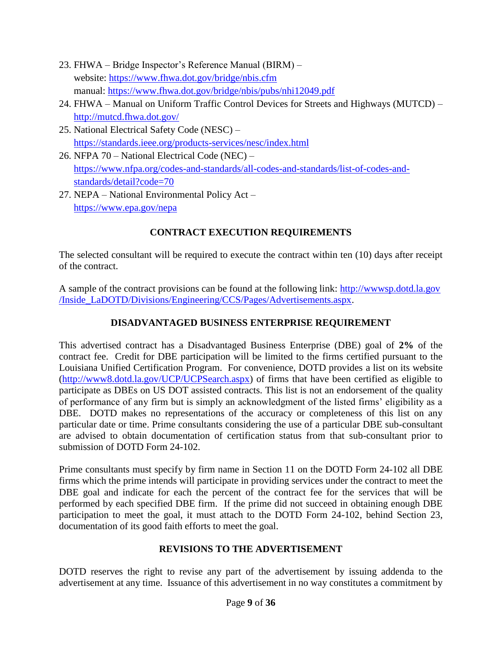- 23. FHWA Bridge Inspector's Reference Manual (BIRM) website:<https://www.fhwa.dot.gov/bridge/nbis.cfm> manual:<https://www.fhwa.dot.gov/bridge/nbis/pubs/nhi12049.pdf>
- 24. FHWA Manual on Uniform Traffic Control Devices for Streets and Highways (MUTCD) <http://mutcd.fhwa.dot.gov/>
- 25. National Electrical Safety Code (NESC) <https://standards.ieee.org/products-services/nesc/index.html>
- 26. NFPA 70 National Electrical Code (NEC) [https://www.nfpa.org/codes-and-standards/all-codes-and-standards/list-of-codes-and](https://www.nfpa.org/codes-and-standards/all-codes-and-standards/list-of-codes-and-standards/detail?code=70)[standards/detail?code=70](https://www.nfpa.org/codes-and-standards/all-codes-and-standards/list-of-codes-and-standards/detail?code=70)
- 27. NEPA National Environmental Policy Act <https://www.epa.gov/nepa>

# **CONTRACT EXECUTION REQUIREMENTS**

The selected consultant will be required to execute the contract within ten (10) days after receipt of the contract.

A sample of the contract provisions can be found at the following link: [http://wwwsp.dotd.la.gov](http://wwwsp.dotd.la.gov/Inside_LaDOTD/Divisions/Engineering/CCS/Pages/Advertisements.aspx) [/Inside\\_LaDOTD/Divisions/Engineering/CCS/Pages/Advertisements.aspx.](http://wwwsp.dotd.la.gov/Inside_LaDOTD/Divisions/Engineering/CCS/Pages/Advertisements.aspx)

# **DISADVANTAGED BUSINESS ENTERPRISE REQUIREMENT**

This advertised contract has a Disadvantaged Business Enterprise (DBE) goal of **2%** of the contract fee. Credit for DBE participation will be limited to the firms certified pursuant to the Louisiana Unified Certification Program. For convenience, DOTD provides a list on its website [\(http://www8.dotd.la.gov/UCP/UCPSearch.aspx\)](http://www8.dotd.la.gov/UCP/UCPSearch.aspx) of firms that have been certified as eligible to participate as DBEs on US DOT assisted contracts. This list is not an endorsement of the quality of performance of any firm but is simply an acknowledgment of the listed firms' eligibility as a DBE. DOTD makes no representations of the accuracy or completeness of this list on any particular date or time. Prime consultants considering the use of a particular DBE sub-consultant are advised to obtain documentation of certification status from that sub-consultant prior to submission of DOTD Form 24-102.

Prime consultants must specify by firm name in Section 11 on the DOTD Form 24-102 all DBE firms which the prime intends will participate in providing services under the contract to meet the DBE goal and indicate for each the percent of the contract fee for the services that will be performed by each specified DBE firm. If the prime did not succeed in obtaining enough DBE participation to meet the goal, it must attach to the DOTD Form 24-102, behind Section 23, documentation of its good faith efforts to meet the goal.

# **REVISIONS TO THE ADVERTISEMENT**

DOTD reserves the right to revise any part of the advertisement by issuing addenda to the advertisement at any time. Issuance of this advertisement in no way constitutes a commitment by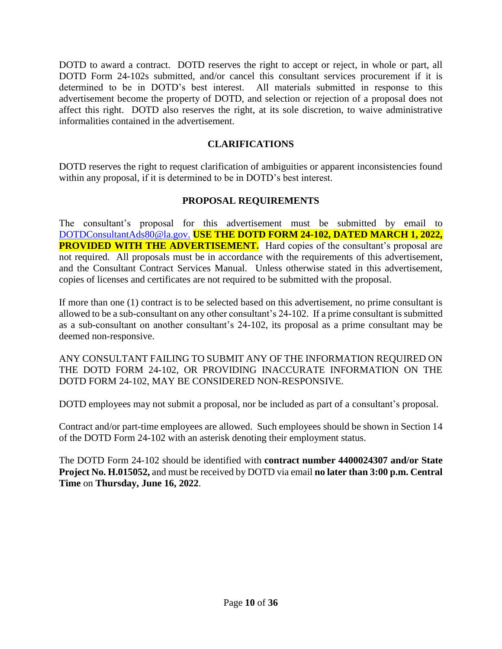DOTD to award a contract. DOTD reserves the right to accept or reject, in whole or part, all DOTD Form 24-102s submitted, and/or cancel this consultant services procurement if it is determined to be in DOTD's best interest. All materials submitted in response to this advertisement become the property of DOTD, and selection or rejection of a proposal does not affect this right. DOTD also reserves the right, at its sole discretion, to waive administrative informalities contained in the advertisement.

### **CLARIFICATIONS**

DOTD reserves the right to request clarification of ambiguities or apparent inconsistencies found within any proposal, if it is determined to be in DOTD's best interest.

### **PROPOSAL REQUIREMENTS**

The consultant's proposal for this advertisement must be submitted by email to [DOTDConsultantAds80@la.gov.](mailto:DOTDConsultantAds80@la.gov) **USE THE DOTD FORM 24-102, DATED MARCH 1, 2022, PROVIDED WITH THE ADVERTISEMENT.** Hard copies of the consultant's proposal are not required. All proposals must be in accordance with the requirements of this advertisement, and the Consultant Contract Services Manual. Unless otherwise stated in this advertisement, copies of licenses and certificates are not required to be submitted with the proposal.

If more than one (1) contract is to be selected based on this advertisement, no prime consultant is allowed to be a sub-consultant on any other consultant's 24-102. If a prime consultant is submitted as a sub-consultant on another consultant's 24-102, its proposal as a prime consultant may be deemed non-responsive.

ANY CONSULTANT FAILING TO SUBMIT ANY OF THE INFORMATION REQUIRED ON THE DOTD FORM 24-102, OR PROVIDING INACCURATE INFORMATION ON THE DOTD FORM 24-102, MAY BE CONSIDERED NON-RESPONSIVE.

DOTD employees may not submit a proposal, nor be included as part of a consultant's proposal.

Contract and/or part-time employees are allowed. Such employees should be shown in Section 14 of the DOTD Form 24-102 with an asterisk denoting their employment status.

The DOTD Form 24-102 should be identified with **contract number 4400024307 and/or State Project No. H.015052,** and must be received by DOTD via email **no later than 3:00 p.m. Central Time** on **Thursday, June 16, 2022**.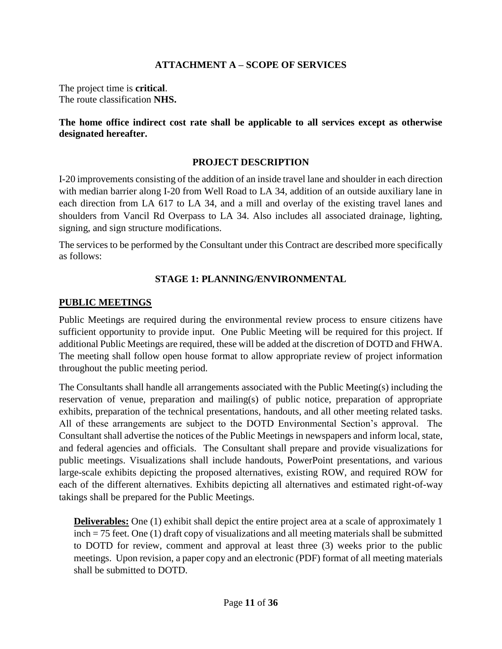### **ATTACHMENT A – SCOPE OF SERVICES**

The project time is **critical**. The route classification **NHS.**

### **The home office indirect cost rate shall be applicable to all services except as otherwise designated hereafter.**

### **PROJECT DESCRIPTION**

I-20 improvements consisting of the addition of an inside travel lane and shoulder in each direction with median barrier along I-20 from Well Road to LA 34, addition of an outside auxiliary lane in each direction from LA 617 to LA 34, and a mill and overlay of the existing travel lanes and shoulders from Vancil Rd Overpass to LA 34. Also includes all associated drainage, lighting, signing, and sign structure modifications.

The services to be performed by the Consultant under this Contract are described more specifically as follows:

### **STAGE 1: PLANNING/ENVIRONMENTAL**

#### **PUBLIC MEETINGS**

Public Meetings are required during the environmental review process to ensure citizens have sufficient opportunity to provide input. One Public Meeting will be required for this project. If additional Public Meetings are required, these will be added at the discretion of DOTD and FHWA. The meeting shall follow open house format to allow appropriate review of project information throughout the public meeting period.

The Consultants shall handle all arrangements associated with the Public Meeting(s) including the reservation of venue, preparation and mailing(s) of public notice, preparation of appropriate exhibits, preparation of the technical presentations, handouts, and all other meeting related tasks. All of these arrangements are subject to the DOTD Environmental Section's approval. The Consultant shall advertise the notices of the Public Meetings in newspapers and inform local, state, and federal agencies and officials. The Consultant shall prepare and provide visualizations for public meetings. Visualizations shall include handouts, PowerPoint presentations, and various large-scale exhibits depicting the proposed alternatives, existing ROW, and required ROW for each of the different alternatives. Exhibits depicting all alternatives and estimated right-of-way takings shall be prepared for the Public Meetings.

**Deliverables:** One (1) exhibit shall depict the entire project area at a scale of approximately 1 inch = 75 feet. One (1) draft copy of visualizations and all meeting materials shall be submitted to DOTD for review, comment and approval at least three (3) weeks prior to the public meetings. Upon revision, a paper copy and an electronic (PDF) format of all meeting materials shall be submitted to DOTD.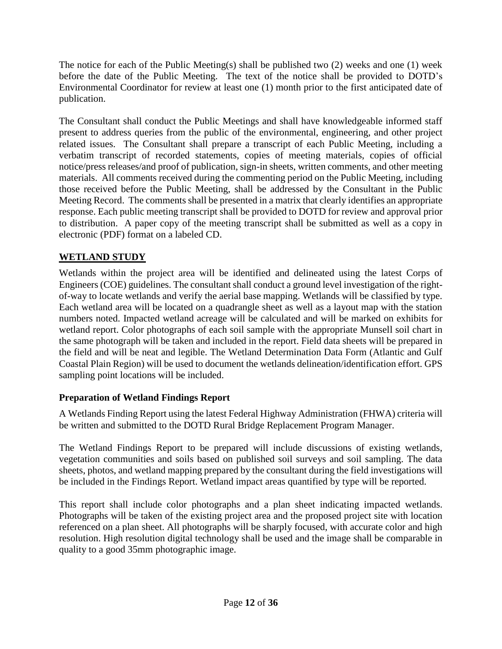The notice for each of the Public Meeting(s) shall be published two (2) weeks and one (1) week before the date of the Public Meeting. The text of the notice shall be provided to DOTD's Environmental Coordinator for review at least one (1) month prior to the first anticipated date of publication.

The Consultant shall conduct the Public Meetings and shall have knowledgeable informed staff present to address queries from the public of the environmental, engineering, and other project related issues. The Consultant shall prepare a transcript of each Public Meeting, including a verbatim transcript of recorded statements, copies of meeting materials, copies of official notice/press releases/and proof of publication, sign-in sheets, written comments, and other meeting materials. All comments received during the commenting period on the Public Meeting, including those received before the Public Meeting, shall be addressed by the Consultant in the Public Meeting Record. The comments shall be presented in a matrix that clearly identifies an appropriate response. Each public meeting transcript shall be provided to DOTD for review and approval prior to distribution. A paper copy of the meeting transcript shall be submitted as well as a copy in electronic (PDF) format on a labeled CD.

## **WETLAND STUDY**

Wetlands within the project area will be identified and delineated using the latest Corps of Engineers (COE) guidelines. The consultant shall conduct a ground level investigation of the rightof-way to locate wetlands and verify the aerial base mapping. Wetlands will be classified by type. Each wetland area will be located on a quadrangle sheet as well as a layout map with the station numbers noted. Impacted wetland acreage will be calculated and will be marked on exhibits for wetland report. Color photographs of each soil sample with the appropriate Munsell soil chart in the same photograph will be taken and included in the report. Field data sheets will be prepared in the field and will be neat and legible. The Wetland Determination Data Form (Atlantic and Gulf Coastal Plain Region) will be used to document the wetlands delineation/identification effort. GPS sampling point locations will be included.

## **Preparation of Wetland Findings Report**

A Wetlands Finding Report using the latest Federal Highway Administration (FHWA) criteria will be written and submitted to the DOTD Rural Bridge Replacement Program Manager.

The Wetland Findings Report to be prepared will include discussions of existing wetlands, vegetation communities and soils based on published soil surveys and soil sampling. The data sheets, photos, and wetland mapping prepared by the consultant during the field investigations will be included in the Findings Report. Wetland impact areas quantified by type will be reported.

This report shall include color photographs and a plan sheet indicating impacted wetlands. Photographs will be taken of the existing project area and the proposed project site with location referenced on a plan sheet. All photographs will be sharply focused, with accurate color and high resolution. High resolution digital technology shall be used and the image shall be comparable in quality to a good 35mm photographic image.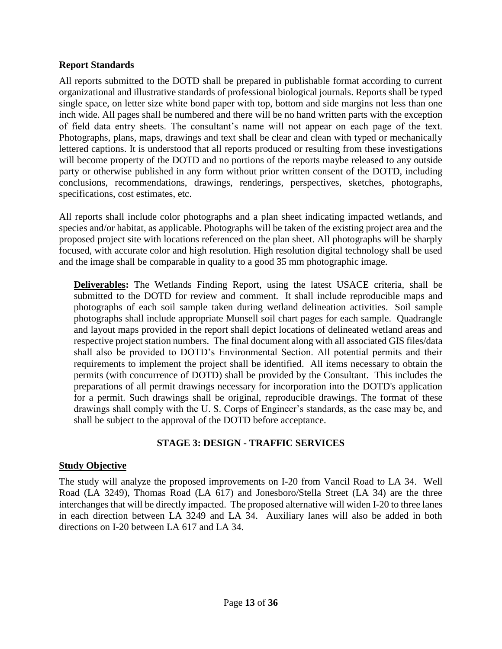#### **Report Standards**

All reports submitted to the DOTD shall be prepared in publishable format according to current organizational and illustrative standards of professional biological journals. Reports shall be typed single space, on letter size white bond paper with top, bottom and side margins not less than one inch wide. All pages shall be numbered and there will be no hand written parts with the exception of field data entry sheets. The consultant's name will not appear on each page of the text. Photographs, plans, maps, drawings and text shall be clear and clean with typed or mechanically lettered captions. It is understood that all reports produced or resulting from these investigations will become property of the DOTD and no portions of the reports maybe released to any outside party or otherwise published in any form without prior written consent of the DOTD, including conclusions, recommendations, drawings, renderings, perspectives, sketches, photographs, specifications, cost estimates, etc.

All reports shall include color photographs and a plan sheet indicating impacted wetlands, and species and/or habitat, as applicable. Photographs will be taken of the existing project area and the proposed project site with locations referenced on the plan sheet. All photographs will be sharply focused, with accurate color and high resolution. High resolution digital technology shall be used and the image shall be comparable in quality to a good 35 mm photographic image.

**Deliverables:** The Wetlands Finding Report, using the latest USACE criteria, shall be submitted to the DOTD for review and comment. It shall include reproducible maps and photographs of each soil sample taken during wetland delineation activities. Soil sample photographs shall include appropriate Munsell soil chart pages for each sample. Quadrangle and layout maps provided in the report shall depict locations of delineated wetland areas and respective project station numbers. The final document along with all associated GIS files/data shall also be provided to DOTD's Environmental Section. All potential permits and their requirements to implement the project shall be identified. All items necessary to obtain the permits (with concurrence of DOTD) shall be provided by the Consultant. This includes the preparations of all permit drawings necessary for incorporation into the DOTD's application for a permit. Such drawings shall be original, reproducible drawings. The format of these drawings shall comply with the U. S. Corps of Engineer's standards, as the case may be, and shall be subject to the approval of the DOTD before acceptance.

#### **STAGE 3: DESIGN - TRAFFIC SERVICES**

#### **Study Objective**

The study will analyze the proposed improvements on I-20 from Vancil Road to LA 34. Well Road (LA 3249), Thomas Road (LA 617) and Jonesboro/Stella Street (LA 34) are the three interchanges that will be directly impacted. The proposed alternative will widen I-20 to three lanes in each direction between LA 3249 and LA 34. Auxiliary lanes will also be added in both directions on I-20 between LA 617 and LA 34.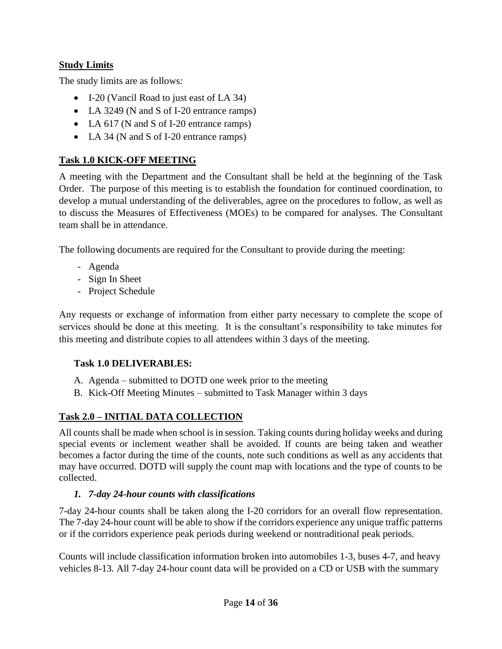# **Study Limits**

The study limits are as follows:

- I-20 (Vancil Road to just east of LA 34)
- LA 3249 (N and S of I-20 entrance ramps)
- LA 617 (N and S of I-20 entrance ramps)
- LA 34 (N and S of I-20 entrance ramps)

## **Task 1.0 KICK-OFF MEETING**

A meeting with the Department and the Consultant shall be held at the beginning of the Task Order. The purpose of this meeting is to establish the foundation for continued coordination, to develop a mutual understanding of the deliverables, agree on the procedures to follow, as well as to discuss the Measures of Effectiveness (MOEs) to be compared for analyses. The Consultant team shall be in attendance.

The following documents are required for the Consultant to provide during the meeting:

- Agenda
- Sign In Sheet
- Project Schedule

Any requests or exchange of information from either party necessary to complete the scope of services should be done at this meeting. It is the consultant's responsibility to take minutes for this meeting and distribute copies to all attendees within 3 days of the meeting.

## **Task 1.0 DELIVERABLES:**

- A. Agenda submitted to DOTD one week prior to the meeting
- B. Kick-Off Meeting Minutes submitted to Task Manager within 3 days

# **Task 2.0 – INITIAL DATA COLLECTION**

All counts shall be made when school is in session. Taking counts during holiday weeks and during special events or inclement weather shall be avoided. If counts are being taken and weather becomes a factor during the time of the counts, note such conditions as well as any accidents that may have occurred. DOTD will supply the count map with locations and the type of counts to be collected.

## *1. 7-day 24-hour counts with classifications*

7-day 24-hour counts shall be taken along the I-20 corridors for an overall flow representation. The 7-day 24-hour count will be able to show if the corridors experience any unique traffic patterns or if the corridors experience peak periods during weekend or nontraditional peak periods.

Counts will include classification information broken into automobiles 1-3, buses 4-7, and heavy vehicles 8-13. All 7-day 24-hour count data will be provided on a CD or USB with the summary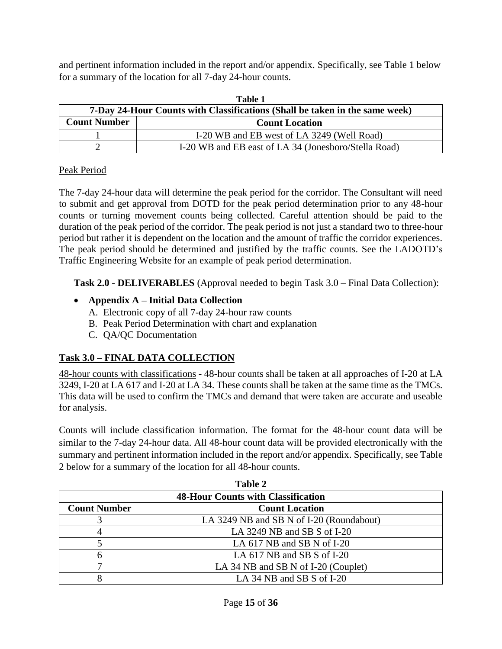and pertinent information included in the report and/or appendix. Specifically, see Table 1 below for a summary of the location for all 7-day 24-hour counts.

| Table 1                                                                     |                                                      |  |  |  |
|-----------------------------------------------------------------------------|------------------------------------------------------|--|--|--|
| 7-Day 24-Hour Counts with Classifications (Shall be taken in the same week) |                                                      |  |  |  |
| <b>Count Number</b>                                                         | <b>Count Location</b>                                |  |  |  |
|                                                                             | I-20 WB and EB west of LA 3249 (Well Road)           |  |  |  |
|                                                                             | I-20 WB and EB east of LA 34 (Jonesboro/Stella Road) |  |  |  |

### Peak Period

The 7-day 24-hour data will determine the peak period for the corridor. The Consultant will need to submit and get approval from DOTD for the peak period determination prior to any 48-hour counts or turning movement counts being collected. Careful attention should be paid to the duration of the peak period of the corridor. The peak period is not just a standard two to three-hour period but rather it is dependent on the location and the amount of traffic the corridor experiences. The peak period should be determined and justified by the traffic counts. See the LADOTD's Traffic Engineering Website for an example of peak period determination.

**Task 2.0 - DELIVERABLES** (Approval needed to begin Task 3.0 – Final Data Collection):

## **Appendix A – Initial Data Collection**

- A. Electronic copy of all 7-day 24-hour raw counts
- B. Peak Period Determination with chart and explanation
- C. QA/QC Documentation

# **Task 3.0 – FINAL DATA COLLECTION**

48-hour counts with classifications - 48-hour counts shall be taken at all approaches of I-20 at LA 3249, I-20 at LA 617 and I-20 at LA 34. These counts shall be taken at the same time as the TMCs. This data will be used to confirm the TMCs and demand that were taken are accurate and useable for analysis.

Counts will include classification information. The format for the 48-hour count data will be similar to the 7-day 24-hour data. All 48-hour count data will be provided electronically with the summary and pertinent information included in the report and/or appendix. Specifically, see Table 2 below for a summary of the location for all 48-hour counts.

**Table 2** 

| 1 apie 2                                  |                                          |  |  |  |
|-------------------------------------------|------------------------------------------|--|--|--|
| <b>48-Hour Counts with Classification</b> |                                          |  |  |  |
| <b>Count Number</b>                       | <b>Count Location</b>                    |  |  |  |
|                                           | LA 3249 NB and SB N of I-20 (Roundabout) |  |  |  |
|                                           | LA $3249$ NB and SB S of I-20            |  |  |  |
|                                           | LA $617$ NB and SB N of I-20             |  |  |  |
| h                                         | LA $617$ NB and SB S of I-20             |  |  |  |
|                                           | LA 34 NB and SB N of I-20 (Couplet)      |  |  |  |
|                                           | LA 34 NB and SB S of I-20                |  |  |  |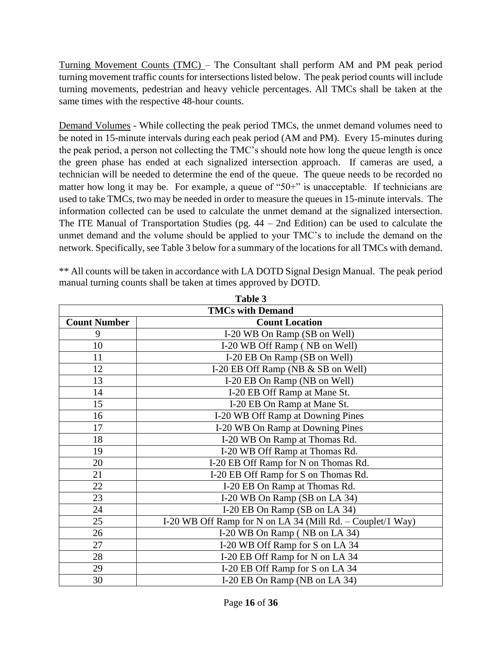Turning Movement Counts (TMC) – The Consultant shall perform AM and PM peak period turning movement traffic counts for intersections listed below. The peak period counts will include turning movements, pedestrian and heavy vehicle percentages. All TMCs shall be taken at the same times with the respective 48-hour counts.

Demand Volumes - While collecting the peak period TMCs, the unmet demand volumes need to be noted in 15-minute intervals during each peak period (AM and PM). Every 15-minutes during the peak period, a person not collecting the TMC's should note how long the queue length is once the green phase has ended at each signalized intersection approach. If cameras are used, a technician will be needed to determine the end of the queue. The queue needs to be recorded no matter how long it may be. For example, a queue of "50+" is unacceptable. If technicians are used to take TMCs, two may be needed in order to measure the queues in 15-minute intervals. The information collected can be used to calculate the unmet demand at the signalized intersection. The ITE Manual of Transportation Studies (pg.  $44 - 2$ nd Edition) can be used to calculate the unmet demand and the volume should be applied to your TMC's to include the demand on the network. Specifically, see Table 3 below for a summary of the locations for all TMCs with demand.

| Table 3                 |                                                            |  |  |
|-------------------------|------------------------------------------------------------|--|--|
| <b>TMCs with Demand</b> |                                                            |  |  |
| <b>Count Number</b>     | <b>Count Location</b>                                      |  |  |
| 9                       | I-20 WB On Ramp (SB on Well)                               |  |  |
| 10                      | I-20 WB Off Ramp (NB on Well)                              |  |  |
| 11                      | I-20 EB On Ramp (SB on Well)                               |  |  |
| 12                      | I-20 EB Off Ramp (NB & SB on Well)                         |  |  |
| 13                      | I-20 EB On Ramp (NB on Well)                               |  |  |
| 14                      | I-20 EB Off Ramp at Mane St.                               |  |  |
| 15                      | I-20 EB On Ramp at Mane St.                                |  |  |
| 16                      | I-20 WB Off Ramp at Downing Pines                          |  |  |
| 17                      | I-20 WB On Ramp at Downing Pines                           |  |  |
| 18                      | I-20 WB On Ramp at Thomas Rd.                              |  |  |
| 19                      | I-20 WB Off Ramp at Thomas Rd.                             |  |  |
| 20                      | I-20 EB Off Ramp for N on Thomas Rd.                       |  |  |
| 21                      | I-20 EB Off Ramp for S on Thomas Rd.                       |  |  |
| 22                      | I-20 EB On Ramp at Thomas Rd.                              |  |  |
| 23                      | I-20 WB On Ramp (SB on LA 34)                              |  |  |
| 24                      | I-20 EB On Ramp (SB on LA 34)                              |  |  |
| 25                      | I-20 WB Off Ramp for N on LA 34 (Mill Rd. – Couplet/1 Way) |  |  |
| 26                      | I-20 WB On Ramp (NB on LA 34)                              |  |  |
| 27                      | I-20 WB Off Ramp for S on LA 34                            |  |  |
| 28                      | I-20 EB Off Ramp for N on LA 34                            |  |  |
| 29                      | I-20 EB Off Ramp for S on LA 34                            |  |  |
| 30                      | I-20 EB On Ramp (NB on LA 34)                              |  |  |

\*\* All counts will be taken in accordance with LA DOTD Signal Design Manual. The peak period manual turning counts shall be taken at times approved by DOTD.

**Table 3**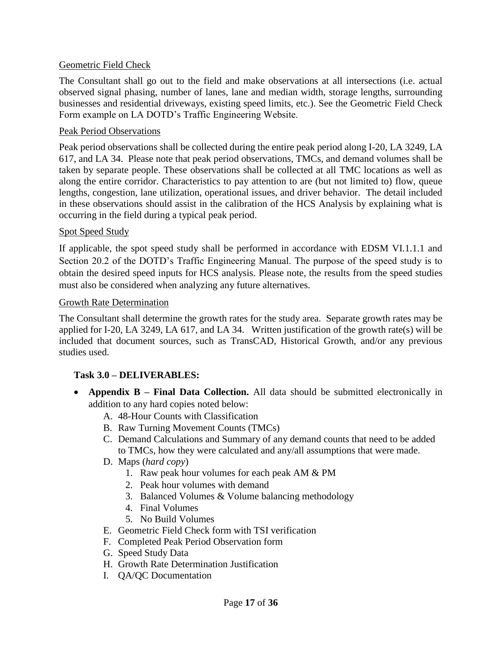#### Geometric Field Check

The Consultant shall go out to the field and make observations at all intersections (i.e. actual observed signal phasing, number of lanes, lane and median width, storage lengths, surrounding businesses and residential driveways, existing speed limits, etc.). See the Geometric Field Check Form example on LA DOTD's Traffic Engineering Website.

#### Peak Period Observations

Peak period observations shall be collected during the entire peak period along I-20, LA 3249, LA 617, and LA 34. Please note that peak period observations, TMCs, and demand volumes shall be taken by separate people. These observations shall be collected at all TMC locations as well as along the entire corridor. Characteristics to pay attention to are (but not limited to) flow, queue lengths, congestion, lane utilization, operational issues, and driver behavior. The detail included in these observations should assist in the calibration of the HCS Analysis by explaining what is occurring in the field during a typical peak period.

#### Spot Speed Study

If applicable, the spot speed study shall be performed in accordance with EDSM VI.1.1.1 and Section 20.2 of the DOTD's Traffic Engineering Manual. The purpose of the speed study is to obtain the desired speed inputs for HCS analysis. Please note, the results from the speed studies must also be considered when analyzing any future alternatives.

#### Growth Rate Determination

The Consultant shall determine the growth rates for the study area. Separate growth rates may be applied for I-20, LA 3249, LA 617, and LA 34. Written justification of the growth rate(s) will be included that document sources, such as TransCAD, Historical Growth, and/or any previous studies used.

#### **Task 3.0 – DELIVERABLES:**

- **Appendix B – Final Data Collection.** All data should be submitted electronically in addition to any hard copies noted below:
	- A. 48-Hour Counts with Classification
	- B. Raw Turning Movement Counts (TMCs)
	- C. Demand Calculations and Summary of any demand counts that need to be added to TMCs, how they were calculated and any/all assumptions that were made.
	- D. Maps (*hard copy*)
		- 1. Raw peak hour volumes for each peak AM & PM
		- 2. Peak hour volumes with demand
		- 3. Balanced Volumes & Volume balancing methodology
		- 4. Final Volumes
		- 5. No Build Volumes
	- E. Geometric Field Check form with TSI verification
	- F. Completed Peak Period Observation form
	- G. Speed Study Data
	- H. Growth Rate Determination Justification
	- I. QA/QC Documentation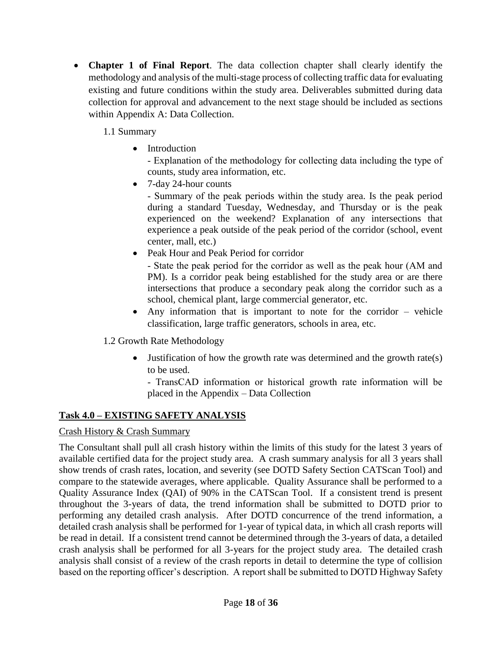**Chapter 1 of Final Report**. The data collection chapter shall clearly identify the methodology and analysis of the multi-stage process of collecting traffic data for evaluating existing and future conditions within the study area. Deliverables submitted during data collection for approval and advancement to the next stage should be included as sections within Appendix A: Data Collection.

1.1 Summary

• Introduction

‐ Explanation of the methodology for collecting data including the type of counts, study area information, etc.

• 7-day 24-hour counts

‐ Summary of the peak periods within the study area. Is the peak period during a standard Tuesday, Wednesday, and Thursday or is the peak experienced on the weekend? Explanation of any intersections that experience a peak outside of the peak period of the corridor (school, event center, mall, etc.)

• Peak Hour and Peak Period for corridor

‐ State the peak period for the corridor as well as the peak hour (AM and PM). Is a corridor peak being established for the study area or are there intersections that produce a secondary peak along the corridor such as a school, chemical plant, large commercial generator, etc.

 Any information that is important to note for the corridor – vehicle classification, large traffic generators, schools in area, etc.

1.2 Growth Rate Methodology

 Justification of how the growth rate was determined and the growth rate(s) to be used.

‐ TransCAD information or historical growth rate information will be placed in the Appendix – Data Collection

# **Task 4.0 – EXISTING SAFETY ANALYSIS**

## Crash History & Crash Summary

The Consultant shall pull all crash history within the limits of this study for the latest 3 years of available certified data for the project study area. A crash summary analysis for all 3 years shall show trends of crash rates, location, and severity (see DOTD Safety Section CATScan Tool) and compare to the statewide averages, where applicable. Quality Assurance shall be performed to a Quality Assurance Index (QAI) of 90% in the CATScan Tool. If a consistent trend is present throughout the 3-years of data, the trend information shall be submitted to DOTD prior to performing any detailed crash analysis. After DOTD concurrence of the trend information, a detailed crash analysis shall be performed for 1-year of typical data, in which all crash reports will be read in detail. If a consistent trend cannot be determined through the 3-years of data, a detailed crash analysis shall be performed for all 3-years for the project study area. The detailed crash analysis shall consist of a review of the crash reports in detail to determine the type of collision based on the reporting officer's description. A report shall be submitted to DOTD Highway Safety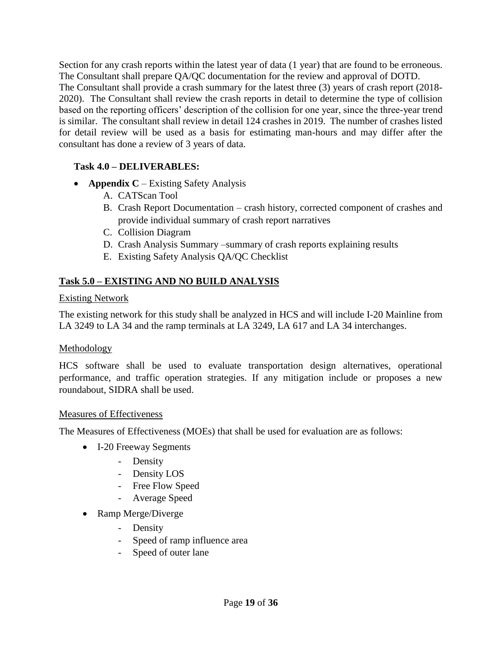Section for any crash reports within the latest year of data (1 year) that are found to be erroneous. The Consultant shall prepare QA/QC documentation for the review and approval of DOTD. The Consultant shall provide a crash summary for the latest three (3) years of crash report (2018- 2020). The Consultant shall review the crash reports in detail to determine the type of collision based on the reporting officers' description of the collision for one year, since the three-year trend is similar. The consultant shall review in detail 124 crashes in 2019. The number of crashes listed for detail review will be used as a basis for estimating man-hours and may differ after the consultant has done a review of 3 years of data.

## **Task 4.0 – DELIVERABLES:**

- **Appendix C** Existing Safety Analysis
	- A. CATScan Tool
	- B. Crash Report Documentation crash history, corrected component of crashes and provide individual summary of crash report narratives
	- C. Collision Diagram
	- D. Crash Analysis Summary –summary of crash reports explaining results
	- E. Existing Safety Analysis QA/QC Checklist

# **Task 5.0 – EXISTING AND NO BUILD ANALYSIS**

#### Existing Network

The existing network for this study shall be analyzed in HCS and will include I-20 Mainline from LA 3249 to LA 34 and the ramp terminals at LA 3249, LA 617 and LA 34 interchanges.

#### Methodology

HCS software shall be used to evaluate transportation design alternatives, operational performance, and traffic operation strategies. If any mitigation include or proposes a new roundabout, SIDRA shall be used.

#### Measures of Effectiveness

The Measures of Effectiveness (MOEs) that shall be used for evaluation are as follows:

- I-20 Freeway Segments
	- Density
	- Density LOS
	- Free Flow Speed
	- Average Speed
- Ramp Merge/Diverge
	- Density
	- Speed of ramp influence area
	- Speed of outer lane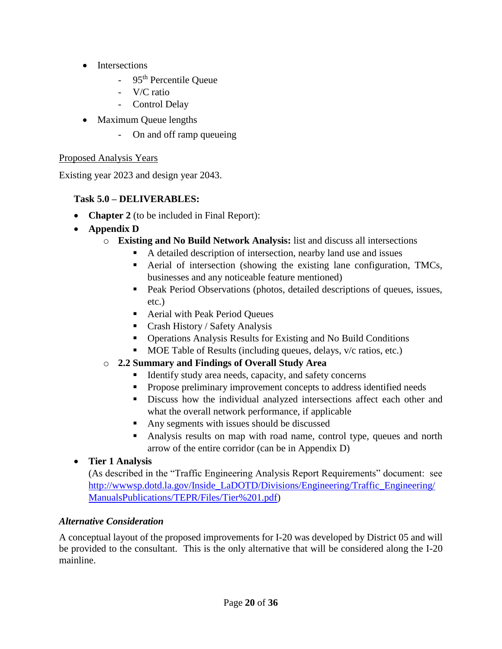- Intersections
	- 95<sup>th</sup> Percentile Oueue
	- V/C ratio
	- Control Delay
- Maximum Queue lengths
	- On and off ramp queueing

# Proposed Analysis Years

Existing year 2023 and design year 2043.

# **Task 5.0 – DELIVERABLES:**

- **Chapter 2** (to be included in Final Report):
- **Appendix D**
	- o **Existing and No Build Network Analysis:** list and discuss all intersections
		- A detailed description of intersection, nearby land use and issues
		- Aerial of intersection (showing the existing lane configuration, TMCs, businesses and any noticeable feature mentioned)
		- Peak Period Observations (photos, detailed descriptions of queues, issues, etc.)
		- Aerial with Peak Period Queues
		- Crash History / Safety Analysis
		- Operations Analysis Results for Existing and No Build Conditions
		- MOE Table of Results (including queues, delays, v/c ratios, etc.)

# o **2.2 Summary and Findings of Overall Study Area**

- Identify study area needs, capacity, and safety concerns
- **Propose preliminary improvement concepts to address identified needs**
- Discuss how the individual analyzed intersections affect each other and what the overall network performance, if applicable
- Any segments with issues should be discussed
- Analysis results on map with road name, control type, queues and north arrow of the entire corridor (can be in Appendix D)

# **Tier 1 Analysis**

(As described in the "Traffic Engineering Analysis Report Requirements" document: see [http://wwwsp.dotd.la.gov/Inside\\_LaDOTD/Divisions/Engineering/Traffic\\_Engineering/](http://wwwsp.dotd.la.gov/Inside_LaDOTD/Divisions/Engineering/Traffic_Engineering/ManualsPublications/TEPR/Files/Tier%201.pdf) [ManualsPublications/TEPR/Files/Tier%201.pdf\)](http://wwwsp.dotd.la.gov/Inside_LaDOTD/Divisions/Engineering/Traffic_Engineering/ManualsPublications/TEPR/Files/Tier%201.pdf)

# *Alternative Consideration*

A conceptual layout of the proposed improvements for I-20 was developed by District 05 and will be provided to the consultant. This is the only alternative that will be considered along the I-20 mainline.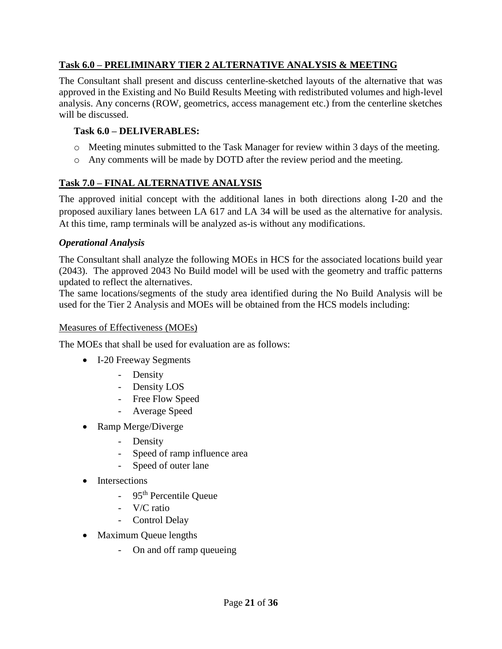# **Task 6.0 – PRELIMINARY TIER 2 ALTERNATIVE ANALYSIS & MEETING**

The Consultant shall present and discuss centerline-sketched layouts of the alternative that was approved in the Existing and No Build Results Meeting with redistributed volumes and high-level analysis. Any concerns (ROW, geometrics, access management etc.) from the centerline sketches will be discussed.

### **Task 6.0 – DELIVERABLES:**

- o Meeting minutes submitted to the Task Manager for review within 3 days of the meeting.
- o Any comments will be made by DOTD after the review period and the meeting.

## **Task 7.0 – FINAL ALTERNATIVE ANALYSIS**

The approved initial concept with the additional lanes in both directions along I-20 and the proposed auxiliary lanes between LA 617 and LA 34 will be used as the alternative for analysis. At this time, ramp terminals will be analyzed as-is without any modifications.

#### *Operational Analysis*

The Consultant shall analyze the following MOEs in HCS for the associated locations build year (2043). The approved 2043 No Build model will be used with the geometry and traffic patterns updated to reflect the alternatives.

The same locations/segments of the study area identified during the No Build Analysis will be used for the Tier 2 Analysis and MOEs will be obtained from the HCS models including:

#### Measures of Effectiveness (MOEs)

The MOEs that shall be used for evaluation are as follows:

- I-20 Freeway Segments
	- Density
	- Density LOS
	- Free Flow Speed
	- Average Speed
- Ramp Merge/Diverge
	- Density
	- Speed of ramp influence area
	- Speed of outer lane
- Intersections
	- 95<sup>th</sup> Percentile Queue
	- V/C ratio
	- Control Delay
- Maximum Queue lengths
	- On and off ramp queueing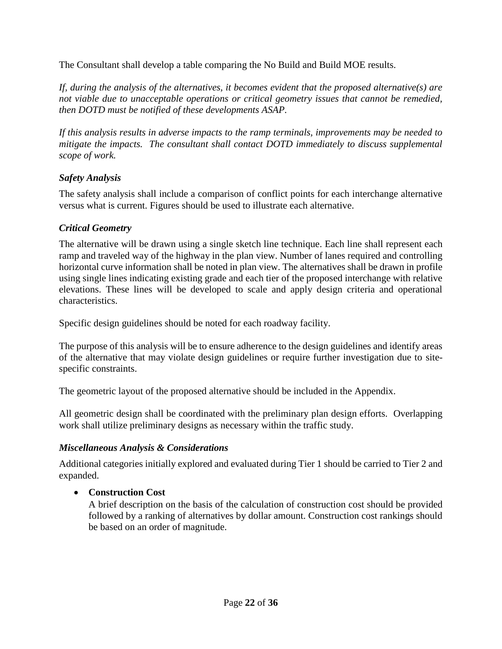The Consultant shall develop a table comparing the No Build and Build MOE results.

*If, during the analysis of the alternatives, it becomes evident that the proposed alternative(s) are not viable due to unacceptable operations or critical geometry issues that cannot be remedied, then DOTD must be notified of these developments ASAP.*

*If this analysis results in adverse impacts to the ramp terminals, improvements may be needed to mitigate the impacts. The consultant shall contact DOTD immediately to discuss supplemental scope of work.*

## *Safety Analysis*

The safety analysis shall include a comparison of conflict points for each interchange alternative versus what is current. Figures should be used to illustrate each alternative.

### *Critical Geometry*

The alternative will be drawn using a single sketch line technique. Each line shall represent each ramp and traveled way of the highway in the plan view. Number of lanes required and controlling horizontal curve information shall be noted in plan view. The alternatives shall be drawn in profile using single lines indicating existing grade and each tier of the proposed interchange with relative elevations. These lines will be developed to scale and apply design criteria and operational characteristics.

Specific design guidelines should be noted for each roadway facility.

The purpose of this analysis will be to ensure adherence to the design guidelines and identify areas of the alternative that may violate design guidelines or require further investigation due to sitespecific constraints.

The geometric layout of the proposed alternative should be included in the Appendix.

All geometric design shall be coordinated with the preliminary plan design efforts. Overlapping work shall utilize preliminary designs as necessary within the traffic study.

#### *Miscellaneous Analysis & Considerations*

Additional categories initially explored and evaluated during Tier 1 should be carried to Tier 2 and expanded.

## **Construction Cost**

A brief description on the basis of the calculation of construction cost should be provided followed by a ranking of alternatives by dollar amount. Construction cost rankings should be based on an order of magnitude.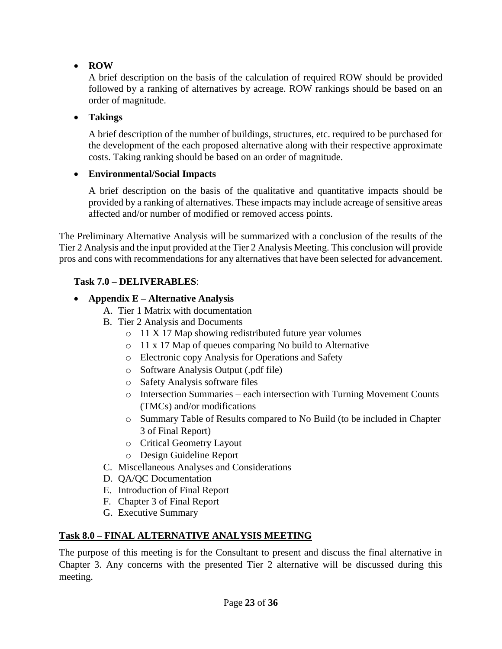# **ROW**

A brief description on the basis of the calculation of required ROW should be provided followed by a ranking of alternatives by acreage. ROW rankings should be based on an order of magnitude.

# **Takings**

A brief description of the number of buildings, structures, etc. required to be purchased for the development of the each proposed alternative along with their respective approximate costs. Taking ranking should be based on an order of magnitude.

# **Environmental/Social Impacts**

A brief description on the basis of the qualitative and quantitative impacts should be provided by a ranking of alternatives. These impacts may include acreage of sensitive areas affected and/or number of modified or removed access points.

The Preliminary Alternative Analysis will be summarized with a conclusion of the results of the Tier 2 Analysis and the input provided at the Tier 2 Analysis Meeting. This conclusion will provide pros and cons with recommendations for any alternatives that have been selected for advancement.

# **Task 7.0 – DELIVERABLES**:

# **Appendix E – Alternative Analysis**

- A. Tier 1 Matrix with documentation
- B. Tier 2 Analysis and Documents
	- o 11 X 17 Map showing redistributed future year volumes
	- o 11 x 17 Map of queues comparing No build to Alternative
	- o Electronic copy Analysis for Operations and Safety
	- o Software Analysis Output (.pdf file)
	- o Safety Analysis software files
	- o Intersection Summaries each intersection with Turning Movement Counts (TMCs) and/or modifications
	- o Summary Table of Results compared to No Build (to be included in Chapter 3 of Final Report)
	- o Critical Geometry Layout
	- o Design Guideline Report
- C. Miscellaneous Analyses and Considerations
- D. QA/QC Documentation
- E. Introduction of Final Report
- F. Chapter 3 of Final Report
- G. Executive Summary

## **Task 8.0 – FINAL ALTERNATIVE ANALYSIS MEETING**

The purpose of this meeting is for the Consultant to present and discuss the final alternative in Chapter 3. Any concerns with the presented Tier 2 alternative will be discussed during this meeting.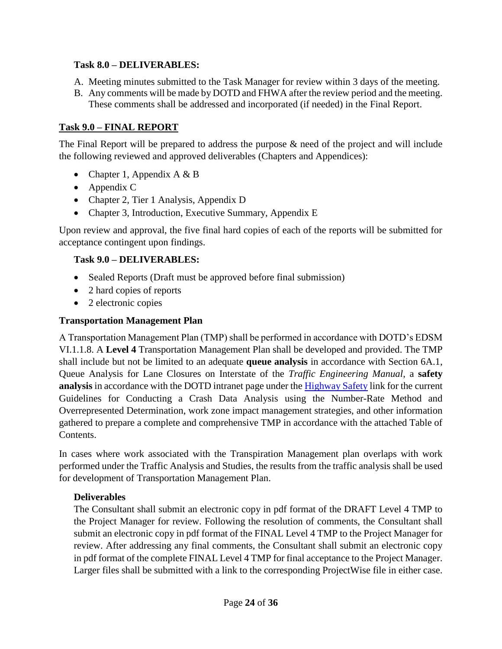### **Task 8.0 – DELIVERABLES:**

- A. Meeting minutes submitted to the Task Manager for review within 3 days of the meeting.
- B. Any comments will be made by DOTD and FHWA after the review period and the meeting. These comments shall be addressed and incorporated (if needed) in the Final Report.

# **Task 9.0 – FINAL REPORT**

The Final Report will be prepared to address the purpose & need of the project and will include the following reviewed and approved deliverables (Chapters and Appendices):

- Chapter 1, Appendix  $A \& B$
- Appendix C
- Chapter 2, Tier 1 Analysis, Appendix D
- Chapter 3, Introduction, Executive Summary, Appendix E

Upon review and approval, the five final hard copies of each of the reports will be submitted for acceptance contingent upon findings.

## **Task 9.0 – DELIVERABLES:**

- Sealed Reports (Draft must be approved before final submission)
- 2 hard copies of reports
- 2 electronic copies

## **Transportation Management Plan**

A Transportation Management Plan (TMP) shall be performed in accordance with DOTD's EDSM VI.1.1.8. A **Level 4** Transportation Management Plan shall be developed and provided. The TMP shall include but not be limited to an adequate **queue analysis** in accordance with Section 6A.1, Queue Analysis for Lane Closures on Interstate of the *Traffic Engineering Manual*, a **safety analysis** in accordance with the DOTD intranet page under th[e Highway Safety](http://wwwsp.dotd.la.gov/Inside_LaDOTD/Divisions/Multimodal/Highway_Safety/Pages/Highway_Safety_Analysis_Toolbox.aspx) link for the current Guidelines for Conducting a Crash Data Analysis using the Number-Rate Method and Overrepresented Determination, work zone impact management strategies, and other information gathered to prepare a complete and comprehensive TMP in accordance with the attached Table of Contents.

In cases where work associated with the Transpiration Management plan overlaps with work performed under the Traffic Analysis and Studies, the results from the traffic analysis shall be used for development of Transportation Management Plan.

## **Deliverables**

The Consultant shall submit an electronic copy in pdf format of the DRAFT Level 4 TMP to the Project Manager for review. Following the resolution of comments, the Consultant shall submit an electronic copy in pdf format of the FINAL Level 4 TMP to the Project Manager for review. After addressing any final comments, the Consultant shall submit an electronic copy in pdf format of the complete FINAL Level 4 TMP for final acceptance to the Project Manager. Larger files shall be submitted with a link to the corresponding ProjectWise file in either case.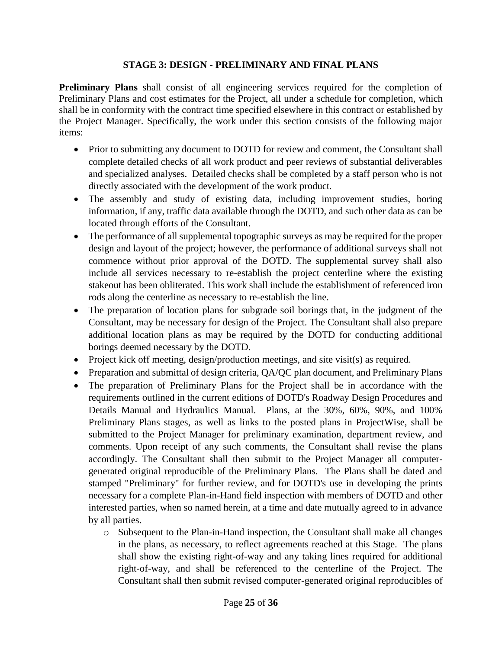### **STAGE 3: DESIGN - PRELIMINARY AND FINAL PLANS**

**Preliminary Plans** shall consist of all engineering services required for the completion of Preliminary Plans and cost estimates for the Project, all under a schedule for completion, which shall be in conformity with the contract time specified elsewhere in this contract or established by the Project Manager. Specifically, the work under this section consists of the following major items:

- Prior to submitting any document to DOTD for review and comment, the Consultant shall complete detailed checks of all work product and peer reviews of substantial deliverables and specialized analyses. Detailed checks shall be completed by a staff person who is not directly associated with the development of the work product.
- The assembly and study of existing data, including improvement studies, boring information, if any, traffic data available through the DOTD, and such other data as can be located through efforts of the Consultant.
- The performance of all supplemental topographic surveys as may be required for the proper design and layout of the project; however, the performance of additional surveys shall not commence without prior approval of the DOTD. The supplemental survey shall also include all services necessary to re-establish the project centerline where the existing stakeout has been obliterated. This work shall include the establishment of referenced iron rods along the centerline as necessary to re-establish the line.
- The preparation of location plans for subgrade soil borings that, in the judgment of the Consultant, may be necessary for design of the Project. The Consultant shall also prepare additional location plans as may be required by the DOTD for conducting additional borings deemed necessary by the DOTD.
- Project kick off meeting, design/production meetings, and site visit(s) as required.
- Preparation and submittal of design criteria, QA/QC plan document, and Preliminary Plans
- The preparation of Preliminary Plans for the Project shall be in accordance with the requirements outlined in the current editions of DOTD's Roadway Design Procedures and Details Manual and Hydraulics Manual. Plans, at the 30%, 60%, 90%, and 100% Preliminary Plans stages, as well as links to the posted plans in ProjectWise, shall be submitted to the Project Manager for preliminary examination, department review, and comments. Upon receipt of any such comments, the Consultant shall revise the plans accordingly. The Consultant shall then submit to the Project Manager all computergenerated original reproducible of the Preliminary Plans. The Plans shall be dated and stamped "Preliminary" for further review, and for DOTD's use in developing the prints necessary for a complete Plan-in-Hand field inspection with members of DOTD and other interested parties, when so named herein, at a time and date mutually agreed to in advance by all parties.
	- o Subsequent to the Plan-in-Hand inspection, the Consultant shall make all changes in the plans, as necessary, to reflect agreements reached at this Stage. The plans shall show the existing right-of-way and any taking lines required for additional right-of-way, and shall be referenced to the centerline of the Project. The Consultant shall then submit revised computer-generated original reproducibles of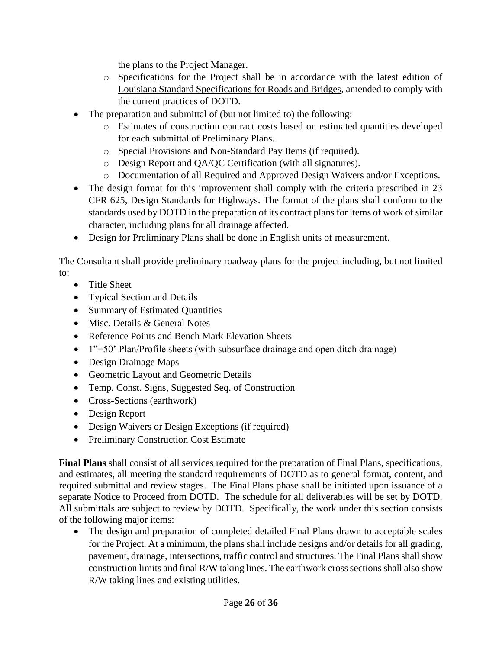the plans to the Project Manager.

- o Specifications for the Project shall be in accordance with the latest edition of Louisiana Standard Specifications for Roads and Bridges, amended to comply with the current practices of DOTD.
- The preparation and submittal of (but not limited to) the following:
	- o Estimates of construction contract costs based on estimated quantities developed for each submittal of Preliminary Plans.
	- o Special Provisions and Non-Standard Pay Items (if required).
	- o Design Report and QA/QC Certification (with all signatures).
	- o Documentation of all Required and Approved Design Waivers and/or Exceptions.
- The design format for this improvement shall comply with the criteria prescribed in 23 CFR 625, Design Standards for Highways. The format of the plans shall conform to the standards used by DOTD in the preparation of its contract plans for items of work of similar character, including plans for all drainage affected.
- Design for Preliminary Plans shall be done in English units of measurement.

The Consultant shall provide preliminary roadway plans for the project including, but not limited to:

- Title Sheet
- Typical Section and Details
- Summary of Estimated Quantities
- Misc. Details & General Notes
- Reference Points and Bench Mark Elevation Sheets
- 1"=50' Plan/Profile sheets (with subsurface drainage and open ditch drainage)
- Design Drainage Maps
- Geometric Layout and Geometric Details
- Temp. Const. Signs, Suggested Seq. of Construction
- Cross-Sections (earthwork)
- Design Report
- Design Waivers or Design Exceptions (if required)
- Preliminary Construction Cost Estimate

**Final Plans** shall consist of all services required for the preparation of Final Plans, specifications, and estimates, all meeting the standard requirements of DOTD as to general format, content, and required submittal and review stages. The Final Plans phase shall be initiated upon issuance of a separate Notice to Proceed from DOTD. The schedule for all deliverables will be set by DOTD. All submittals are subject to review by DOTD. Specifically, the work under this section consists of the following major items:

• The design and preparation of completed detailed Final Plans drawn to acceptable scales for the Project. At a minimum, the plans shall include designs and/or details for all grading, pavement, drainage, intersections, traffic control and structures. The Final Plans shall show construction limits and final R/W taking lines. The earthwork cross sections shall also show R/W taking lines and existing utilities.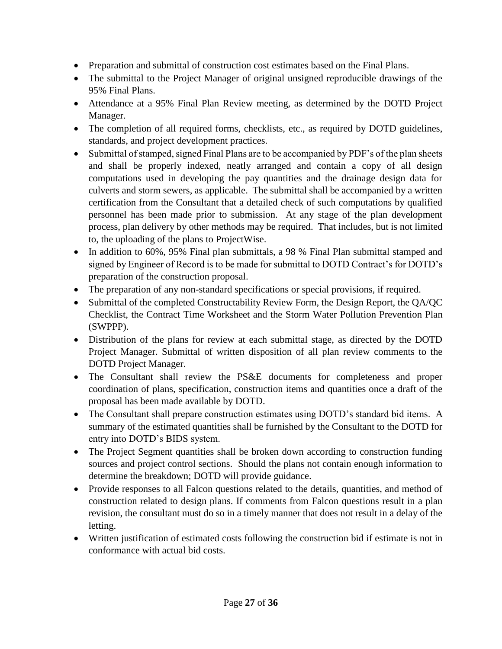- Preparation and submittal of construction cost estimates based on the Final Plans.
- The submittal to the Project Manager of original unsigned reproducible drawings of the 95% Final Plans.
- Attendance at a 95% Final Plan Review meeting, as determined by the DOTD Project Manager.
- The completion of all required forms, checklists, etc., as required by DOTD guidelines, standards, and project development practices.
- Submittal of stamped, signed Final Plans are to be accompanied by PDF's of the plan sheets and shall be properly indexed, neatly arranged and contain a copy of all design computations used in developing the pay quantities and the drainage design data for culverts and storm sewers, as applicable. The submittal shall be accompanied by a written certification from the Consultant that a detailed check of such computations by qualified personnel has been made prior to submission. At any stage of the plan development process, plan delivery by other methods may be required. That includes, but is not limited to, the uploading of the plans to ProjectWise.
- In addition to 60%, 95% Final plan submittals, a 98 % Final Plan submittal stamped and signed by Engineer of Record is to be made for submittal to DOTD Contract's for DOTD's preparation of the construction proposal.
- The preparation of any non-standard specifications or special provisions, if required.
- Submittal of the completed Constructability Review Form, the Design Report, the QA/QC Checklist, the Contract Time Worksheet and the Storm Water Pollution Prevention Plan (SWPPP).
- Distribution of the plans for review at each submittal stage, as directed by the DOTD Project Manager. Submittal of written disposition of all plan review comments to the DOTD Project Manager.
- The Consultant shall review the PS&E documents for completeness and proper coordination of plans, specification, construction items and quantities once a draft of the proposal has been made available by DOTD.
- The Consultant shall prepare construction estimates using DOTD's standard bid items. A summary of the estimated quantities shall be furnished by the Consultant to the DOTD for entry into DOTD's BIDS system.
- The Project Segment quantities shall be broken down according to construction funding sources and project control sections. Should the plans not contain enough information to determine the breakdown; DOTD will provide guidance.
- Provide responses to all Falcon questions related to the details, quantities, and method of construction related to design plans. If comments from Falcon questions result in a plan revision, the consultant must do so in a timely manner that does not result in a delay of the letting.
- Written justification of estimated costs following the construction bid if estimate is not in conformance with actual bid costs.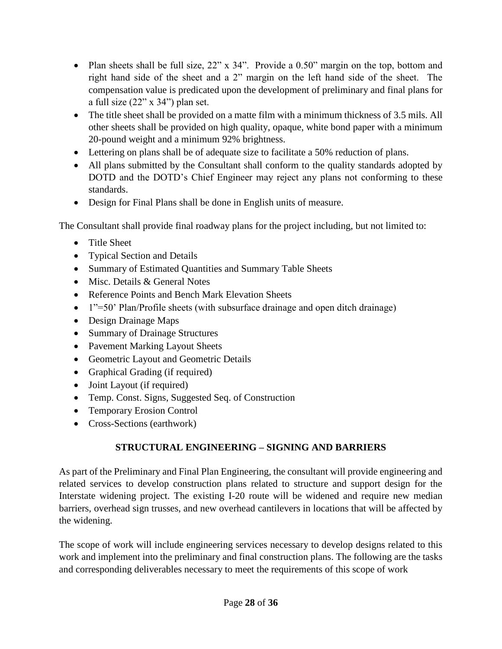- Plan sheets shall be full size, 22" x 34". Provide a 0.50" margin on the top, bottom and right hand side of the sheet and a 2" margin on the left hand side of the sheet. The compensation value is predicated upon the development of preliminary and final plans for a full size (22" x 34") plan set.
- The title sheet shall be provided on a matte film with a minimum thickness of 3.5 mils. All other sheets shall be provided on high quality, opaque, white bond paper with a minimum 20-pound weight and a minimum 92% brightness.
- Lettering on plans shall be of adequate size to facilitate a 50% reduction of plans.
- All plans submitted by the Consultant shall conform to the quality standards adopted by DOTD and the DOTD's Chief Engineer may reject any plans not conforming to these standards.
- Design for Final Plans shall be done in English units of measure.

The Consultant shall provide final roadway plans for the project including, but not limited to:

- Title Sheet
- Typical Section and Details
- Summary of Estimated Quantities and Summary Table Sheets
- Misc. Details & General Notes
- Reference Points and Bench Mark Elevation Sheets
- 1"=50' Plan/Profile sheets (with subsurface drainage and open ditch drainage)
- Design Drainage Maps
- Summary of Drainage Structures
- Pavement Marking Layout Sheets
- Geometric Layout and Geometric Details
- Graphical Grading (if required)
- Joint Layout (if required)
- Temp. Const. Signs, Suggested Seq. of Construction
- Temporary Erosion Control
- Cross-Sections (earthwork)

# **STRUCTURAL ENGINEERING – SIGNING AND BARRIERS**

As part of the Preliminary and Final Plan Engineering, the consultant will provide engineering and related services to develop construction plans related to structure and support design for the Interstate widening project. The existing I-20 route will be widened and require new median barriers, overhead sign trusses, and new overhead cantilevers in locations that will be affected by the widening.

The scope of work will include engineering services necessary to develop designs related to this work and implement into the preliminary and final construction plans. The following are the tasks and corresponding deliverables necessary to meet the requirements of this scope of work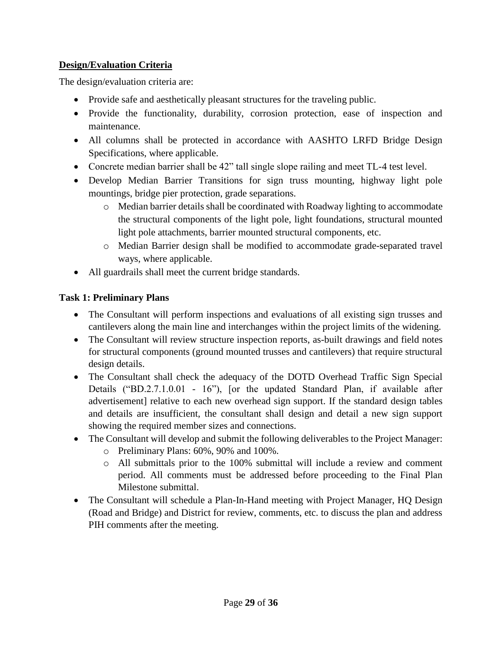# **Design/Evaluation Criteria**

The design/evaluation criteria are:

- Provide safe and aesthetically pleasant structures for the traveling public.
- Provide the functionality, durability, corrosion protection, ease of inspection and maintenance.
- All columns shall be protected in accordance with AASHTO LRFD Bridge Design Specifications, where applicable.
- Concrete median barrier shall be 42" tall single slope railing and meet TL-4 test level.
- Develop Median Barrier Transitions for sign truss mounting, highway light pole mountings, bridge pier protection, grade separations.
	- o Median barrier details shall be coordinated with Roadway lighting to accommodate the structural components of the light pole, light foundations, structural mounted light pole attachments, barrier mounted structural components, etc.
	- o Median Barrier design shall be modified to accommodate grade-separated travel ways, where applicable.
- All guardrails shall meet the current bridge standards.

# **Task 1: Preliminary Plans**

- The Consultant will perform inspections and evaluations of all existing sign trusses and cantilevers along the main line and interchanges within the project limits of the widening.
- The Consultant will review structure inspection reports, as-built drawings and field notes for structural components (ground mounted trusses and cantilevers) that require structural design details.
- The Consultant shall check the adequacy of the DOTD Overhead Traffic Sign Special Details ("BD.2.7.1.0.01 - 16"), [or the updated Standard Plan, if available after advertisement] relative to each new overhead sign support. If the standard design tables and details are insufficient, the consultant shall design and detail a new sign support showing the required member sizes and connections.
- The Consultant will develop and submit the following deliverables to the Project Manager:
	- o Preliminary Plans: 60%, 90% and 100%.
	- o All submittals prior to the 100% submittal will include a review and comment period. All comments must be addressed before proceeding to the Final Plan Milestone submittal.
- The Consultant will schedule a Plan-In-Hand meeting with Project Manager, HQ Design (Road and Bridge) and District for review, comments, etc. to discuss the plan and address PIH comments after the meeting.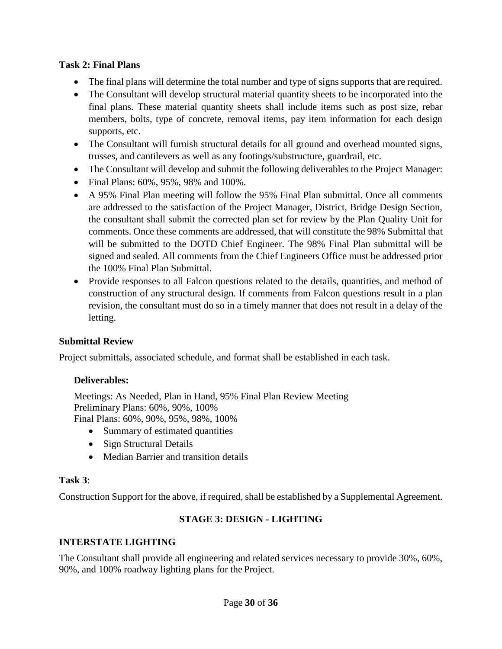### **Task 2: Final Plans**

- The final plans will determine the total number and type of signs supports that are required.
- The Consultant will develop structural material quantity sheets to be incorporated into the final plans. These material quantity sheets shall include items such as post size, rebar members, bolts, type of concrete, removal items, pay item information for each design supports, etc.
- The Consultant will furnish structural details for all ground and overhead mounted signs, trusses, and cantilevers as well as any footings/substructure, guardrail, etc.
- The Consultant will develop and submit the following deliverables to the Project Manager:
- Final Plans: 60%, 95%, 98% and 100%.
- A 95% Final Plan meeting will follow the 95% Final Plan submittal. Once all comments are addressed to the satisfaction of the Project Manager, District, Bridge Design Section, the consultant shall submit the corrected plan set for review by the Plan Quality Unit for comments. Once these comments are addressed, that will constitute the 98% Submittal that will be submitted to the DOTD Chief Engineer. The 98% Final Plan submittal will be signed and sealed. All comments from the Chief Engineers Office must be addressed prior the 100% Final Plan Submittal.
- Provide responses to all Falcon questions related to the details, quantities, and method of construction of any structural design. If comments from Falcon questions result in a plan revision, the consultant must do so in a timely manner that does not result in a delay of the letting.

## **Submittal Review**

Project submittals, associated schedule, and format shall be established in each task.

## **Deliverables:**

Meetings: As Needed, Plan in Hand, 95% Final Plan Review Meeting Preliminary Plans: 60%, 90%, 100% Final Plans: 60%, 90%, 95%, 98%, 100%

- Summary of estimated quantities
- Sign Structural Details
- Median Barrier and transition details

#### **Task 3**:

Construction Support for the above, if required, shall be established by a Supplemental Agreement.

# **STAGE 3: DESIGN - LIGHTING**

## **INTERSTATE LIGHTING**

The Consultant shall provide all engineering and related services necessary to provide 30%, 60%, 90%, and 100% roadway lighting plans for the Project.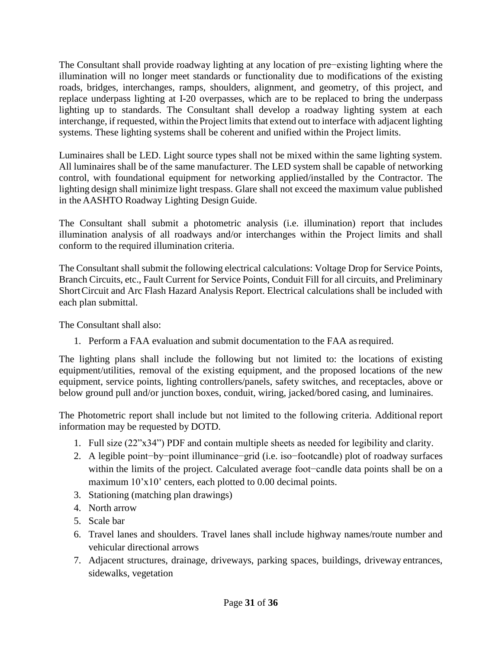The Consultant shall provide roadway lighting at any location of pre−existing lighting where the illumination will no longer meet standards or functionality due to modifications of the existing roads, bridges, interchanges, ramps, shoulders, alignment, and geometry, of this project, and replace underpass lighting at I-20 overpasses, which are to be replaced to bring the underpass lighting up to standards. The Consultant shall develop a roadway lighting system at each interchange, if requested, within the Project limits that extend out to interface with adjacent lighting systems. These lighting systems shall be coherent and unified within the Project limits.

Luminaires shall be LED. Light source types shall not be mixed within the same lighting system. All luminaires shall be of the same manufacturer. The LED system shall be capable of networking control, with foundational equipment for networking applied/installed by the Contractor. The lighting design shall minimize light trespass. Glare shall not exceed the maximum value published in the AASHTO Roadway Lighting Design Guide.

The Consultant shall submit a photometric analysis (i.e. illumination) report that includes illumination analysis of all roadways and/or interchanges within the Project limits and shall conform to the required illumination criteria.

The Consultant shall submit the following electrical calculations: Voltage Drop for Service Points, Branch Circuits, etc., Fault Current for Service Points, Conduit Fill for all circuits, and Preliminary ShortCircuit and Arc Flash Hazard Analysis Report. Electrical calculations shall be included with each plan submittal.

The Consultant shall also:

1. Perform a FAA evaluation and submit documentation to the FAA asrequired.

The lighting plans shall include the following but not limited to: the locations of existing equipment/utilities, removal of the existing equipment, and the proposed locations of the new equipment, service points, lighting controllers/panels, safety switches, and receptacles, above or below ground pull and/or junction boxes, conduit, wiring, jacked/bored casing, and luminaires.

The Photometric report shall include but not limited to the following criteria. Additional report information may be requested by DOTD.

- 1. Full size (22"x34") PDF and contain multiple sheets as needed for legibility and clarity.
- 2. A legible point−by−point illuminance−grid (i.e. iso−footcandle) plot of roadway surfaces within the limits of the project. Calculated average foot−candle data points shall be on a maximum 10'x10' centers, each plotted to 0.00 decimal points.
- 3. Stationing (matching plan drawings)
- 4. North arrow
- 5. Scale bar
- 6. Travel lanes and shoulders. Travel lanes shall include highway names/route number and vehicular directional arrows
- 7. Adjacent structures, drainage, driveways, parking spaces, buildings, driveway entrances, sidewalks, vegetation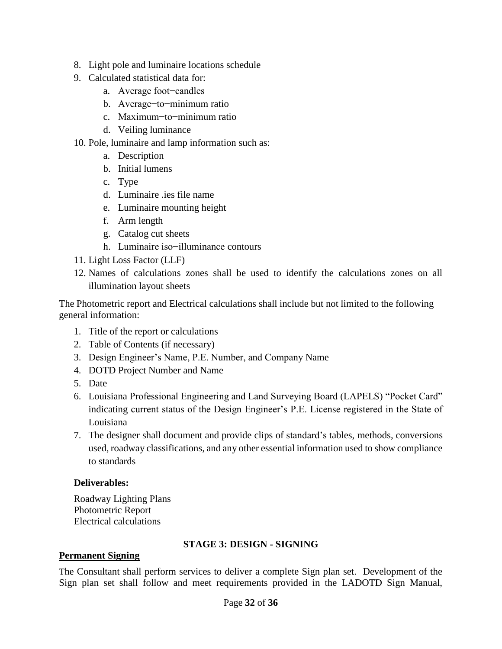- 8. Light pole and luminaire locations schedule
- 9. Calculated statistical data for:
	- a. Average foot−candles
	- b. Average−to−minimum ratio
	- c. Maximum−to−minimum ratio
	- d. Veiling luminance
- 10. Pole, luminaire and lamp information such as:
	- a. Description
	- b. Initial lumens
	- c. Type
	- d. Luminaire .ies file name
	- e. Luminaire mounting height
	- f. Arm length
	- g. Catalog cut sheets
	- h. Luminaire iso−illuminance contours
- 11. Light Loss Factor (LLF)
- 12. Names of calculations zones shall be used to identify the calculations zones on all illumination layout sheets

The Photometric report and Electrical calculations shall include but not limited to the following general information:

- 1. Title of the report or calculations
- 2. Table of Contents (if necessary)
- 3. Design Engineer's Name, P.E. Number, and Company Name
- 4. DOTD Project Number and Name
- 5. Date
- 6. Louisiana Professional Engineering and Land Surveying Board (LAPELS) "Pocket Card" indicating current status of the Design Engineer's P.E. License registered in the State of Louisiana
- 7. The designer shall document and provide clips of standard's tables, methods, conversions used, roadway classifications, and any other essential information used to show compliance to standards

# **Deliverables:**

Roadway Lighting Plans Photometric Report Electrical calculations

# **STAGE 3: DESIGN - SIGNING**

## **Permanent Signing**

The Consultant shall perform services to deliver a complete Sign plan set. Development of the Sign plan set shall follow and meet requirements provided in the LADOTD Sign Manual,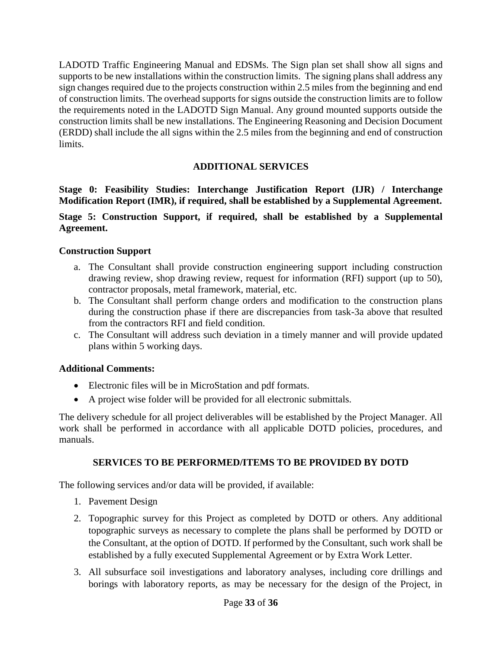LADOTD Traffic Engineering Manual and EDSMs. The Sign plan set shall show all signs and supports to be new installations within the construction limits. The signing plans shall address any sign changes required due to the projects construction within 2.5 miles from the beginning and end of construction limits. The overhead supports for signs outside the construction limits are to follow the requirements noted in the LADOTD Sign Manual. Any ground mounted supports outside the construction limits shall be new installations. The Engineering Reasoning and Decision Document (ERDD) shall include the all signs within the 2.5 miles from the beginning and end of construction limits.

## **ADDITIONAL SERVICES**

**Stage 0: Feasibility Studies: Interchange Justification Report (IJR) / Interchange Modification Report (IMR), if required, shall be established by a Supplemental Agreement.**

### **Stage 5: Construction Support, if required, shall be established by a Supplemental Agreement.**

### **Construction Support**

- a. The Consultant shall provide construction engineering support including construction drawing review, shop drawing review, request for information (RFI) support (up to 50), contractor proposals, metal framework, material, etc.
- b. The Consultant shall perform change orders and modification to the construction plans during the construction phase if there are discrepancies from task-3a above that resulted from the contractors RFI and field condition.
- c. The Consultant will address such deviation in a timely manner and will provide updated plans within 5 working days.

#### **Additional Comments:**

- Electronic files will be in MicroStation and pdf formats.
- A project wise folder will be provided for all electronic submittals.

The delivery schedule for all project deliverables will be established by the Project Manager. All work shall be performed in accordance with all applicable DOTD policies, procedures, and manuals.

#### **SERVICES TO BE PERFORMED/ITEMS TO BE PROVIDED BY DOTD**

The following services and/or data will be provided, if available:

- 1. Pavement Design
- 2. Topographic survey for this Project as completed by DOTD or others. Any additional topographic surveys as necessary to complete the plans shall be performed by DOTD or the Consultant, at the option of DOTD. If performed by the Consultant, such work shall be established by a fully executed Supplemental Agreement or by Extra Work Letter.
- 3. All subsurface soil investigations and laboratory analyses, including core drillings and borings with laboratory reports, as may be necessary for the design of the Project, in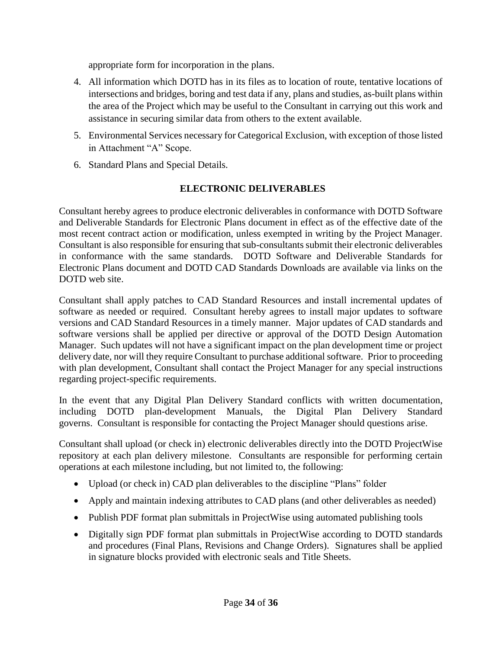appropriate form for incorporation in the plans.

- 4. All information which DOTD has in its files as to location of route, tentative locations of intersections and bridges, boring and test data if any, plans and studies, as-built plans within the area of the Project which may be useful to the Consultant in carrying out this work and assistance in securing similar data from others to the extent available.
- 5. Environmental Services necessary for Categorical Exclusion, with exception of those listed in Attachment "A" Scope.
- 6. Standard Plans and Special Details.

## **ELECTRONIC DELIVERABLES**

Consultant hereby agrees to produce electronic deliverables in conformance with DOTD Software and Deliverable Standards for Electronic Plans document in effect as of the effective date of the most recent contract action or modification, unless exempted in writing by the Project Manager. Consultant is also responsible for ensuring that sub-consultants submit their electronic deliverables in conformance with the same standards. DOTD Software and Deliverable Standards for Electronic Plans document and DOTD CAD Standards Downloads are available via links on the DOTD web site.

Consultant shall apply patches to CAD Standard Resources and install incremental updates of software as needed or required. Consultant hereby agrees to install major updates to software versions and CAD Standard Resources in a timely manner. Major updates of CAD standards and software versions shall be applied per directive or approval of the DOTD Design Automation Manager. Such updates will not have a significant impact on the plan development time or project delivery date, nor will they require Consultant to purchase additional software. Prior to proceeding with plan development, Consultant shall contact the Project Manager for any special instructions regarding project-specific requirements.

In the event that any Digital Plan Delivery Standard conflicts with written documentation, including DOTD plan-development Manuals, the Digital Plan Delivery Standard governs. Consultant is responsible for contacting the Project Manager should questions arise.

Consultant shall upload (or check in) electronic deliverables directly into the DOTD ProjectWise repository at each plan delivery milestone. Consultants are responsible for performing certain operations at each milestone including, but not limited to, the following:

- Upload (or check in) CAD plan deliverables to the discipline "Plans" folder
- Apply and maintain indexing attributes to CAD plans (and other deliverables as needed)
- Publish PDF format plan submittals in ProjectWise using automated publishing tools
- Digitally sign PDF format plan submittals in ProjectWise according to DOTD standards and procedures (Final Plans, Revisions and Change Orders). Signatures shall be applied in signature blocks provided with electronic seals and Title Sheets.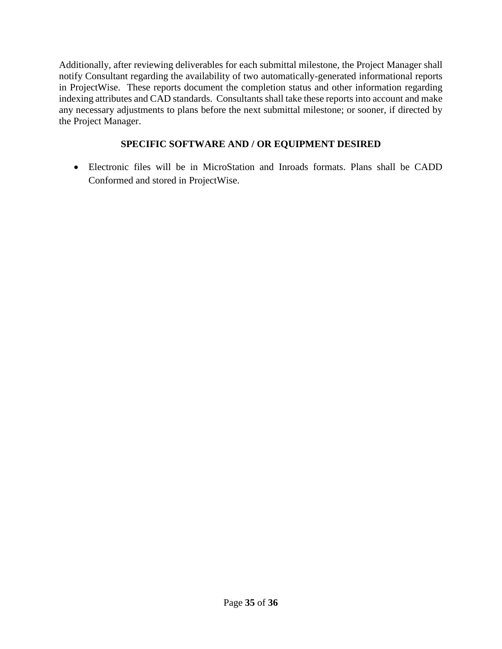Additionally, after reviewing deliverables for each submittal milestone, the Project Manager shall notify Consultant regarding the availability of two automatically-generated informational reports in ProjectWise. These reports document the completion status and other information regarding indexing attributes and CAD standards. Consultants shall take these reports into account and make any necessary adjustments to plans before the next submittal milestone; or sooner, if directed by the Project Manager.

# **SPECIFIC SOFTWARE AND / OR EQUIPMENT DESIRED**

 Electronic files will be in MicroStation and Inroads formats. Plans shall be CADD Conformed and stored in ProjectWise.